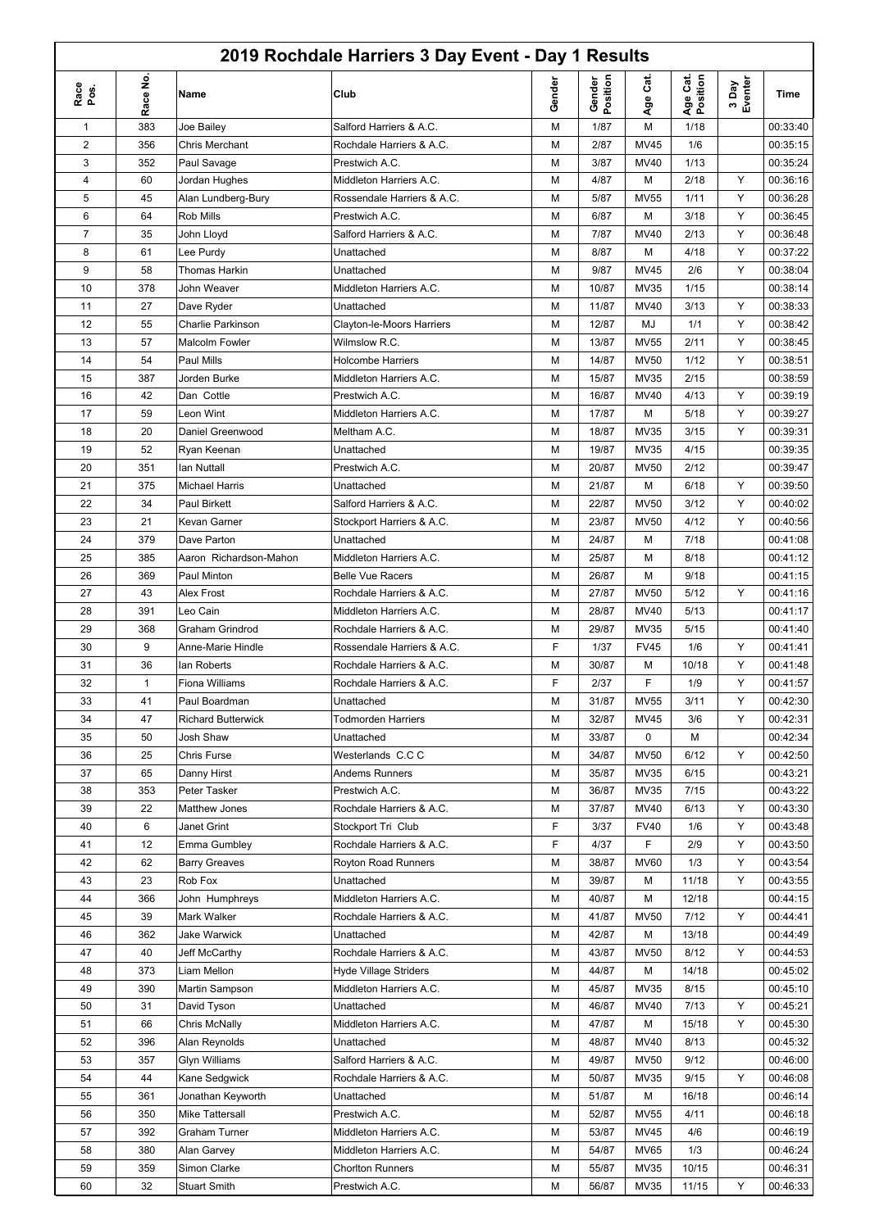|                |                |                           | 2019 Rochdale Harriers 3 Day Event - Day 1 Results |        |                    |             |                      |                  |          |
|----------------|----------------|---------------------------|----------------------------------------------------|--------|--------------------|-------------|----------------------|------------------|----------|
| Race<br>Pos.   | غ.<br>ace<br>≃ | Name                      | Club                                               | Gender | Gender<br>Position | ູ້ສ<br>Age  | Age Cat.<br>Position | 3 Day<br>Eventer | Time     |
| 1              | 383            | Joe Bailey                | Salford Harriers & A.C.                            | M      | 1/87               | M           | 1/18                 |                  | 00:33:40 |
| $\overline{2}$ | 356            | <b>Chris Merchant</b>     | Rochdale Harriers & A.C.                           | M      | 2/87               | MV45        | 1/6                  |                  | 00:35:15 |
| 3              | 352            | Paul Savage               | Prestwich A.C.                                     | M      | 3/87               | MV40        | 1/13                 |                  | 00:35:24 |
| 4              | 60             | Jordan Hughes             | Middleton Harriers A.C.                            | M      | 4/87               | M           | 2/18                 | Y                | 00:36:16 |
| 5              | 45             | Alan Lundberg-Bury        | Rossendale Harriers & A.C.                         | M      | 5/87               | <b>MV55</b> | 1/11                 | Υ                | 00:36:28 |
| 6              | 64             | Rob Mills                 | Prestwich A.C.                                     | M      | 6/87               | М           | 3/18                 | Y                | 00:36:45 |
| $\overline{7}$ | 35             | John Lloyd                | Salford Harriers & A.C.                            | M      | 7/87               | MV40        | 2/13                 | Y                | 00:36:48 |
| 8              | 61             | Lee Purdy                 | Unattached                                         | M      | 8/87               | М           | 4/18                 | Y                | 00:37:22 |
| 9              | 58             | Thomas Harkin             | Unattached                                         | M      | 9/87               | MV45        | 2/6                  | Y                | 00:38:04 |
| 10             | 378            | John Weaver               | Middleton Harriers A.C.                            | M      | 10/87              | MV35        | 1/15                 |                  | 00:38:14 |
| 11             | 27             | Dave Ryder                | Unattached                                         | M      | 11/87              | MV40        | 3/13                 | Y                | 00:38:33 |
| 12             | 55             | Charlie Parkinson         | Clayton-le-Moors Harriers                          | M      | 12/87              | MJ          | 1/1                  | Y                | 00:38:42 |
| 13             | 57             | Malcolm Fowler            | Wilmslow R.C.                                      | M      | 13/87              | <b>MV55</b> | 2/11                 | Y                | 00:38:45 |
| 14             | 54             | Paul Mills                | <b>Holcombe Harriers</b>                           | M      | 14/87              | <b>MV50</b> | 1/12                 | Y                | 00:38:51 |
| 15             | 387            | Jorden Burke              | Middleton Harriers A.C.                            | M      | 15/87              | MV35        | 2/15                 |                  | 00:38:59 |
| 16             | 42             | Dan Cottle                | Prestwich A.C.                                     | M      | 16/87              | MV40        | 4/13                 | Y                | 00:39:19 |
| 17             | 59             | Leon Wint                 | Middleton Harriers A.C.                            | M      | 17/87              | М           | 5/18                 | Y                | 00:39:27 |
| 18             | 20             | Daniel Greenwood          | Meltham A.C.                                       | M      | 18/87              | MV35        | 3/15                 | Y                | 00:39:31 |
| 19             | 52             | Ryan Keenan               | Unattached                                         | M      | 19/87              | MV35        | 4/15                 |                  | 00:39:35 |
| 20             | 351            | lan Nuttall               | Prestwich A.C.                                     | M      | 20/87              | <b>MV50</b> | 2/12                 |                  | 00:39:47 |
| 21             | 375            | <b>Michael Harris</b>     | Unattached                                         | M      | 21/87              | M           | 6/18                 | Y                | 00:39:50 |
| 22             | 34             | <b>Paul Birkett</b>       | Salford Harriers & A.C.                            | M      | 22/87              | <b>MV50</b> | 3/12                 | Y                | 00:40:02 |
| 23             | 21             | Kevan Garner              | Stockport Harriers & A.C.                          | M      | 23/87              | <b>MV50</b> | 4/12                 | Y                | 00:40:56 |
| 24             | 379            | Dave Parton               | Unattached                                         | M      | 24/87              | M           | 7/18                 |                  | 00:41:08 |
| 25             | 385            | Aaron Richardson-Mahon    | Middleton Harriers A.C.                            | M      | 25/87              | M           | 8/18                 |                  | 00:41:12 |
| 26             | 369            | Paul Minton               | <b>Belle Vue Racers</b>                            | M      | 26/87              | M           | 9/18                 |                  | 00:41:15 |
| 27             | 43             | Alex Frost                | Rochdale Harriers & A.C.                           | M      | 27/87              | <b>MV50</b> | 5/12                 | Y                | 00:41:16 |
| 28             | 391            | Leo Cain                  | Middleton Harriers A.C.                            | M      | 28/87              | MV40        | 5/13                 |                  | 00:41:17 |
| 29             | 368            | Graham Grindrod           | Rochdale Harriers & A.C.                           | M      | 29/87              | MV35        | 5/15                 |                  | 00:41:40 |
| 30             | 9              | Anne-Marie Hindle         | Rossendale Harriers & A.C.                         | F      | 1/37               | <b>FV45</b> | 1/6                  | Y                | 00:41:41 |
| 31             | 36             | lan Roberts               | Rochdale Harriers & A.C.                           | M      | 30/87              | М           | 10/18                | Y                | 00:41:48 |
| 32             | 1              | <b>Fiona Williams</b>     | Rochdale Harriers & A.C.                           | F      | 2/37               | F           | 1/9                  | Y                | 00:41:57 |
| 33             | 41             | Paul Boardman             | Unattached                                         | M      | 31/87              | <b>MV55</b> | 3/11                 | Y.               | 00:42:30 |
| 34             | 47             | <b>Richard Butterwick</b> | <b>Todmorden Harriers</b>                          | М      | 32/87              | MV45        | 3/6                  | Y                | 00:42:31 |
| 35             | 50             | Josh Shaw                 | Unattached                                         | M      | 33/87              | 0           | М                    |                  | 00:42:34 |
| 36             | 25             | Chris Furse               | Westerlands C.C C                                  | M      | 34/87              | <b>MV50</b> | 6/12                 | Y                | 00:42:50 |
| 37             | 65             | Danny Hirst               | Andems Runners                                     | M      | 35/87              | MV35        | 6/15                 |                  | 00:43:21 |
| 38             | 353            | Peter Tasker              | Prestwich A.C.                                     | M      | 36/87              | MV35        | 7/15                 |                  | 00:43:22 |
| 39             | 22             | Matthew Jones             | Rochdale Harriers & A.C.                           | M      | 37/87              | MV40        | 6/13                 | Y                | 00:43:30 |
| 40             | 6              | Janet Grint               | Stockport Tri Club                                 | F      | 3/37               | <b>FV40</b> | 1/6                  | Y                | 00:43:48 |
| 41             | 12             | Emma Gumbley              | Rochdale Harriers & A.C.                           | F      | 4/37               | F           | 2/9                  | Y                | 00:43:50 |
| 42             | 62             | <b>Barry Greaves</b>      | Royton Road Runners                                | M      | 38/87              | <b>MV60</b> | 1/3                  | Y                | 00:43:54 |
| 43             | 23             | Rob Fox                   | Unattached                                         | M      | 39/87              | M           | 11/18                | Y                | 00:43:55 |
| 44             | 366            | John Humphreys            | Middleton Harriers A.C.                            | М      | 40/87              | M           | 12/18                |                  | 00:44:15 |
| 45             | 39             | Mark Walker               | Rochdale Harriers & A.C.                           | M      | 41/87              | <b>MV50</b> | 7/12                 | Y                | 00:44:41 |
| 46             | 362            | Jake Warwick              | Unattached                                         | M      | 42/87              | М           | 13/18                |                  | 00:44:49 |
| 47             | 40             | Jeff McCarthy             | Rochdale Harriers & A.C.                           | M      | 43/87              | <b>MV50</b> | 8/12                 | Y                | 00:44:53 |
| 48             | 373            | Liam Mellon               | <b>Hyde Village Striders</b>                       | M      | 44/87              | М           | 14/18                |                  | 00:45:02 |
| 49             | 390            | Martin Sampson            | Middleton Harriers A.C.                            | M      | 45/87              | MV35        | 8/15                 |                  | 00:45:10 |
| 50             | 31             | David Tyson               | Unattached                                         | M      | 46/87              | MV40        | 7/13                 | Y                | 00:45:21 |
| 51             | 66             | Chris McNally             | Middleton Harriers A.C.                            | M      | 47/87              | М           | 15/18                | Y                | 00:45:30 |
| 52             | 396            | Alan Reynolds             | Unattached                                         | M      | 48/87              | MV40        | 8/13                 |                  | 00:45:32 |
| 53             | 357            | Glyn Williams             | Salford Harriers & A.C.                            | M      | 49/87              | <b>MV50</b> | 9/12                 |                  | 00:46:00 |
| 54             | 44             | Kane Sedgwick             | Rochdale Harriers & A.C.                           | M      | 50/87              | MV35        | 9/15                 | Y                | 00:46:08 |
| 55             | 361            | Jonathan Keyworth         | Unattached                                         | M      | 51/87              | М           | 16/18                |                  | 00:46:14 |
| 56             | 350            | Mike Tattersall           | Prestwich A.C.                                     | M      | 52/87              | <b>MV55</b> | 4/11                 |                  | 00:46:18 |
| 57             | 392            | Graham Turner             | Middleton Harriers A.C.                            | M      | 53/87              | MV45        | 4/6                  |                  | 00:46:19 |

58 380 Alan Garvey Middleton Harriers A.C. M | 54/87 | MV65 | 1/3 | 00:46:24 59 359 Simon Clarke Chorlton Runners M M 55/87 MV35 10/15 00:46:31 60 32 Stuart Smith Prestwich A.C. M 56/87 MV35 11/15 Y 00:46:33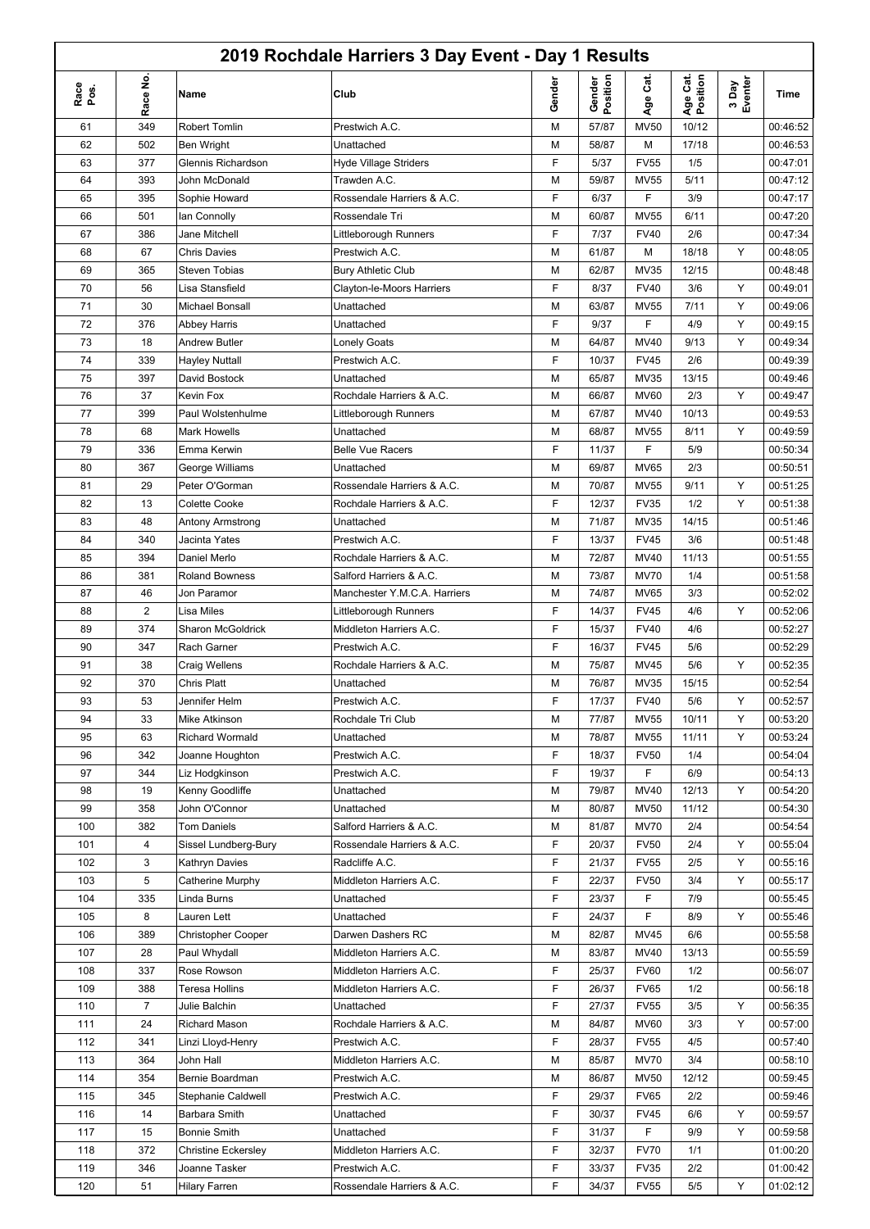|              |                |                            | 2019 Rochdale Harriers 3 Day Event - Day 1 Results |        |                    |             |                      |                  |             |
|--------------|----------------|----------------------------|----------------------------------------------------|--------|--------------------|-------------|----------------------|------------------|-------------|
| Race<br>Pos. | Race No        | Name                       | Club                                               | Gender | Gender<br>Position | Cat.<br>Age | Age Cat.<br>Position | 3 Day<br>Eventer | <b>Time</b> |
| 61           | 349            | <b>Robert Tomlin</b>       | Prestwich A.C.                                     | M      | 57/87              | <b>MV50</b> | 10/12                |                  | 00:46:52    |
| 62           | 502            | Ben Wright                 | Unattached                                         | M      | 58/87              | М           | 17/18                |                  | 00:46:53    |
| 63           | 377            | Glennis Richardson         | <b>Hyde Village Striders</b>                       | F      | 5/37               | <b>FV55</b> | 1/5                  |                  | 00:47:01    |
| 64           | 393            | John McDonald              | Trawden A.C.                                       | M      | 59/87              | <b>MV55</b> | 5/11                 |                  | 00:47:12    |
| 65           | 395            | Sophie Howard              | Rossendale Harriers & A.C.                         | F      | 6/37               | F           | 3/9                  |                  | 00:47:17    |
| 66           | 501            | lan Connolly               | Rossendale Tri                                     | M      | 60/87              | <b>MV55</b> | 6/11                 |                  | 00:47:20    |
| 67           | 386            | Jane Mitchell              | Littleborough Runners                              | F      | 7/37               | <b>FV40</b> | 2/6                  |                  | 00:47:34    |
| 68           | 67             | <b>Chris Davies</b>        | Prestwich A.C.                                     | M      | 61/87              | М           | 18/18                | Υ                | 00:48:05    |
| 69           | 365            | <b>Steven Tobias</b>       | <b>Bury Athletic Club</b>                          | M      | 62/87              | MV35        | 12/15                |                  | 00:48:48    |
| 70           | 56             | Lisa Stansfield            | Clayton-le-Moors Harriers                          | F      | 8/37               | <b>FV40</b> | 3/6                  | Υ                | 00:49:01    |
| 71           | 30             | Michael Bonsall            | Unattached                                         | M      | 63/87              | <b>MV55</b> | 7/11                 | Υ                | 00:49:06    |
| 72           | 376            | <b>Abbey Harris</b>        | Unattached                                         | F      | 9/37               | F           | 4/9                  | Υ                | 00:49:15    |
| 73           | 18             | <b>Andrew Butler</b>       | <b>Lonely Goats</b>                                | M      | 64/87              | MV40        | 9/13                 | Υ                | 00:49:34    |
| 74           | 339            | <b>Hayley Nuttall</b>      | Prestwich A.C.                                     | F      | 10/37              | <b>FV45</b> | 2/6                  |                  | 00:49:39    |
| 75           | 397            | David Bostock              | Unattached                                         | M      | 65/87              | MV35        | 13/15                |                  | 00:49:46    |
| 76           | 37             | Kevin Fox                  | Rochdale Harriers & A.C.                           | M      | 66/87              | <b>MV60</b> | 2/3                  | Y                | 00:49:47    |
| 77           | 399            | Paul Wolstenhulme          | Littleborough Runners                              | M      | 67/87              | MV40        | 10/13                |                  | 00:49:53    |
| 78           | 68             | <b>Mark Howells</b>        | Unattached                                         | M      | 68/87              | <b>MV55</b> | 8/11                 | Y                | 00:49:59    |
| 79           | 336            | Emma Kerwin                | <b>Belle Vue Racers</b>                            | F      | 11/37              | F           | 5/9                  |                  | 00:50:34    |
| 80           | 367            | George Williams            | Unattached                                         | M      | 69/87              | <b>MV65</b> | 2/3                  |                  | 00:50:51    |
| 81           | 29             | Peter O'Gorman             | Rossendale Harriers & A.C.                         | M      | 70/87              | <b>MV55</b> | 9/11                 | Υ                | 00:51:25    |
| 82           | 13             | <b>Colette Cooke</b>       | Rochdale Harriers & A.C.                           | F      | 12/37              | <b>FV35</b> | 1/2                  | Y                | 00:51:38    |
| 83           | 48             | Antony Armstrong           | Unattached                                         | M      | 71/87              | MV35        | 14/15                |                  | 00:51:46    |
| 84           | 340            | Jacinta Yates              | Prestwich A.C.                                     | F      | 13/37              | <b>FV45</b> | 3/6                  |                  | 00:51:48    |
| 85           | 394            | Daniel Merlo               | Rochdale Harriers & A.C.                           | M      | 72/87              | MV40        | 11/13                |                  | 00:51:55    |
| 86           | 381            | <b>Roland Bowness</b>      | Salford Harriers & A.C.                            | M      | 73/87              | <b>MV70</b> | 1/4                  |                  | 00:51:58    |
| 87           | 46             | Jon Paramor                | Manchester Y.M.C.A. Harriers                       | M      | 74/87              | <b>MV65</b> | 3/3                  |                  | 00:52:02    |
| 88           | 2              | <b>Lisa Miles</b>          | Littleborough Runners                              | F      | 14/37              | <b>FV45</b> | 4/6                  | Y                | 00:52:06    |
| 89           | 374            | Sharon McGoldrick          | Middleton Harriers A.C.                            | F      | 15/37              | <b>FV40</b> | 4/6                  |                  | 00:52:27    |
| 90           | 347            | Rach Garner                | Prestwich A.C.                                     | F      | 16/37              | <b>FV45</b> | 5/6                  |                  | 00:52:29    |
| 91           | 38             | Craig Wellens              | Rochdale Harriers & A.C.                           | M      | 75/87              | MV45        | 5/6                  | Y                | 00:52:35    |
| 92           | 370            | Chris Platt                | Unattached                                         | M      | 76/87              | MV35        | 15/15                |                  | 00:52:54    |
| 93           | 53             | Jennifer Helm              | Prestwich A.C.                                     | F      | 17/37              | <b>FV40</b> | 5/6                  | Υ                | 00:52:57    |
| 94           | 33             | Mike Atkinson              | Rochdale Tri Club                                  | M      | 77/87              | <b>MV55</b> | 10/11                | Υ                | 00:53:20    |
| 95           | 63             | <b>Richard Wormald</b>     | Unattached                                         | M      | 78/87              | <b>MV55</b> | 11/11                | Υ                | 00:53:24    |
| 96           | 342            | Joanne Houghton            | Prestwich A.C.                                     | F      | 18/37              | <b>FV50</b> | 1/4                  |                  | 00:54:04    |
| 97           | 344            | Liz Hodgkinson             | Prestwich A.C.                                     | F      | 19/37              | F           | 6/9                  |                  | 00:54:13    |
| 98           | 19             | Kenny Goodliffe            | Unattached                                         | M      | 79/87              | MV40        | 12/13                | Y                | 00:54:20    |
| 99           | 358            | John O'Connor              | Unattached                                         | M      | 80/87              | <b>MV50</b> | 11/12                |                  | 00:54:30    |
| 100          | 382            | <b>Tom Daniels</b>         | Salford Harriers & A.C.                            | M      | 81/87              | <b>MV70</b> | 2/4                  |                  | 00:54:54    |
| 101          | 4              | Sissel Lundberg-Bury       | Rossendale Harriers & A.C.                         | F      | 20/37              | <b>FV50</b> | 2/4                  | Υ                | 00:55:04    |
| 102          | 3              | Kathryn Davies             | Radcliffe A.C.                                     | F      | 21/37              | <b>FV55</b> | 2/5                  | Υ                | 00:55:16    |
| 103          | 5              | Catherine Murphy           | Middleton Harriers A.C.                            | F      | 22/37              | <b>FV50</b> | 3/4                  | Υ                | 00:55:17    |
| 104          | 335            | Linda Burns                | Unattached                                         | F      | 23/37              | F           | 7/9                  |                  | 00:55:45    |
| 105          | 8              | Lauren Lett                | Unattached                                         | F      | 24/37              | F           | 8/9                  | Υ                | 00:55:46    |
| 106          | 389            | <b>Christopher Cooper</b>  | Darwen Dashers RC                                  | M      | 82/87              | MV45        | 6/6                  |                  | 00:55:58    |
| 107          | 28             | Paul Whydall               | Middleton Harriers A.C.                            | M      | 83/87              | MV40        | 13/13                |                  | 00:55:59    |
| 108          | 337            | Rose Rowson                | Middleton Harriers A.C.                            | F      | 25/37              | <b>FV60</b> | 1/2                  |                  | 00:56:07    |
| 109          | 388            | <b>Teresa Hollins</b>      | Middleton Harriers A.C.                            | F      | 26/37              | <b>FV65</b> | 1/2                  |                  | 00:56:18    |
| 110          | $\overline{7}$ | Julie Balchin              | Unattached                                         | F      | 27/37              | <b>FV55</b> | 3/5                  | Υ                | 00:56:35    |
| 111          | 24             | Richard Mason              | Rochdale Harriers & A.C.                           | M      | 84/87              | <b>MV60</b> | 3/3                  | Y                | 00:57:00    |
| 112          | 341            | Linzi Lloyd-Henry          | Prestwich A.C.                                     | F      | 28/37              | <b>FV55</b> | 4/5                  |                  | 00:57:40    |
| 113          | 364            | John Hall                  | Middleton Harriers A.C.                            | M      | 85/87              | <b>MV70</b> | 3/4                  |                  | 00:58:10    |
| 114          | 354            | Bernie Boardman            | Prestwich A.C.                                     | M      | 86/87              | <b>MV50</b> | 12/12                |                  | 00:59:45    |
| 115          | 345            | Stephanie Caldwell         | Prestwich A.C.                                     | F      | 29/37              | <b>FV65</b> | 2/2                  |                  | 00:59:46    |
| 116          | 14             | Barbara Smith              | Unattached                                         | F      | 30/37              | <b>FV45</b> | 6/6                  | Y                | 00:59:57    |
| 117          | 15             | <b>Bonnie Smith</b>        | Unattached                                         | F      | 31/37              | F           | 9/9                  | Y                | 00:59:58    |
| 118          | 372            | <b>Christine Eckersley</b> | Middleton Harriers A.C.                            | F      | 32/37              | <b>FV70</b> | 1/1                  |                  | 01:00:20    |
| 119          | 346            | Joanne Tasker              | Prestwich A.C.                                     | F      | 33/37              | <b>FV35</b> | 2/2                  |                  | 01:00:42    |
| 120          | 51             | <b>Hilary Farren</b>       | Rossendale Harriers & A.C.                         | F      | 34/37              | <b>FV55</b> | 5/5                  | Y                | 01:02:12    |
|              |                |                            |                                                    |        |                    |             |                      |                  |             |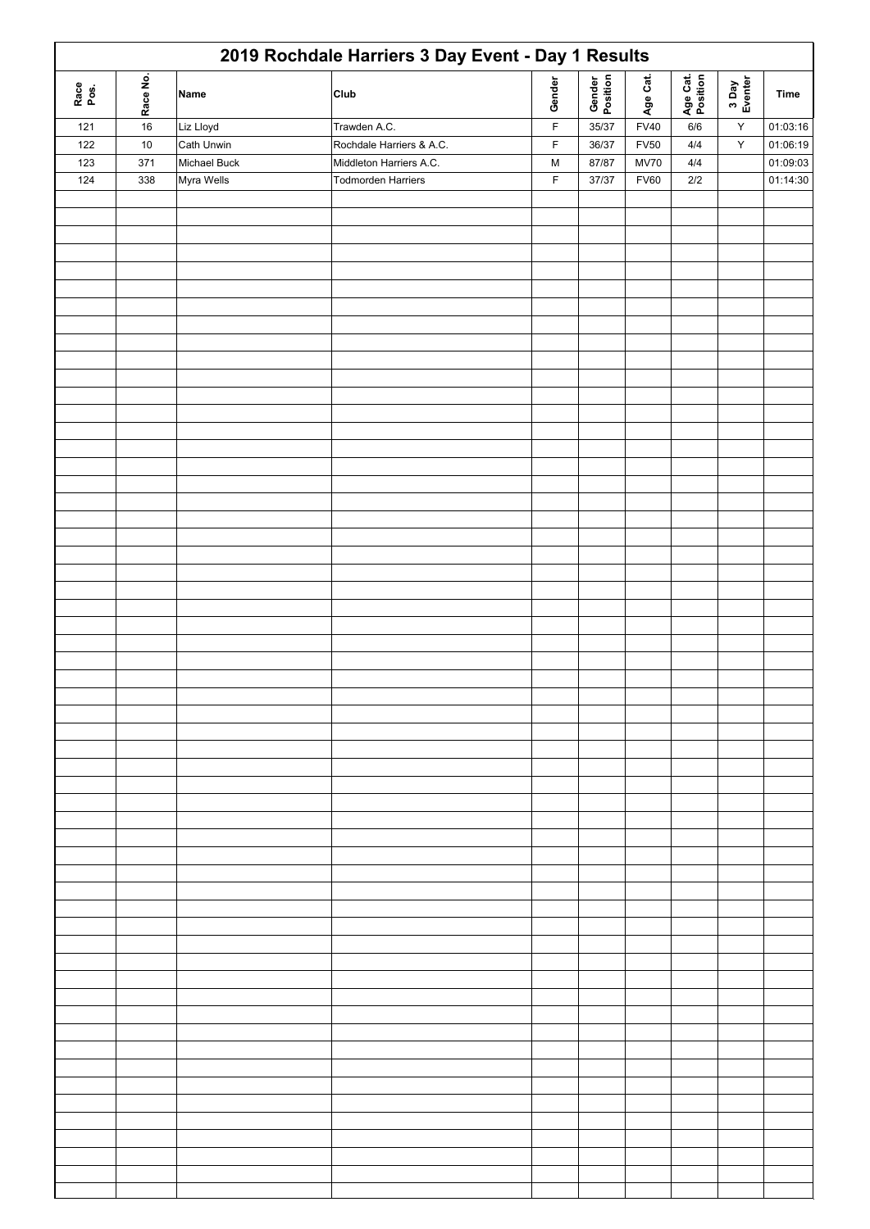|              |          |              | 2019 Rochdale Harriers 3 Day Event - Day 1 Results |             |                    |             |                      |                  |                       |
|--------------|----------|--------------|----------------------------------------------------|-------------|--------------------|-------------|----------------------|------------------|-----------------------|
| Race<br>Pos. | Race No. | Name         | Club                                               | Gender      | Gender<br>Position | Age Cat.    | Age Cat.<br>Position | 3 Day<br>Eventer | Time                  |
| 121          | $16\,$   | Liz Lloyd    | Trawden A.C.                                       | $\mathsf F$ | 35/37              | <b>FV40</b> | 6/6                  | $\mathsf Y$      | 01:03:16              |
| 122          | $10$     | Cath Unwin   | Rochdale Harriers & A.C.                           | $\mathsf F$ | 36/37              | <b>FV50</b> | $4/4\,$              | $\mathsf Y$      | 01:06:19              |
| 123          | 371      | Michael Buck | Middleton Harriers A.C.                            | M           | 87/87              | <b>MV70</b> | $4/4\,$              |                  | $\overline{01:09:03}$ |
| 124          | 338      | Myra Wells   | <b>Todmorden Harriers</b>                          | $\mathsf F$ | 37/37              | <b>FV60</b> | $2/2$                |                  | 01:14:30              |
|              |          |              |                                                    |             |                    |             |                      |                  |                       |
|              |          |              |                                                    |             |                    |             |                      |                  |                       |
|              |          |              |                                                    |             |                    |             |                      |                  |                       |
|              |          |              |                                                    |             |                    |             |                      |                  |                       |
|              |          |              |                                                    |             |                    |             |                      |                  |                       |
|              |          |              |                                                    |             |                    |             |                      |                  |                       |
|              |          |              |                                                    |             |                    |             |                      |                  |                       |
|              |          |              |                                                    |             |                    |             |                      |                  |                       |
|              |          |              |                                                    |             |                    |             |                      |                  |                       |
|              |          |              |                                                    |             |                    |             |                      |                  |                       |
|              |          |              |                                                    |             |                    |             |                      |                  |                       |
|              |          |              |                                                    |             |                    |             |                      |                  |                       |
|              |          |              |                                                    |             |                    |             |                      |                  |                       |
|              |          |              |                                                    |             |                    |             |                      |                  |                       |
|              |          |              |                                                    |             |                    |             |                      |                  |                       |
|              |          |              |                                                    |             |                    |             |                      |                  |                       |
|              |          |              |                                                    |             |                    |             |                      |                  |                       |
|              |          |              |                                                    |             |                    |             |                      |                  |                       |
|              |          |              |                                                    |             |                    |             |                      |                  |                       |
|              |          |              |                                                    |             |                    |             |                      |                  |                       |
|              |          |              |                                                    |             |                    |             |                      |                  |                       |
|              |          |              |                                                    |             |                    |             |                      |                  |                       |
|              |          |              |                                                    |             |                    |             |                      |                  |                       |
|              |          |              |                                                    |             |                    |             |                      |                  |                       |
|              |          |              |                                                    |             |                    |             |                      |                  |                       |
|              |          |              |                                                    |             |                    |             |                      |                  |                       |
|              |          |              |                                                    |             |                    |             |                      |                  |                       |
|              |          |              |                                                    |             |                    |             |                      |                  |                       |
|              |          |              |                                                    |             |                    |             |                      |                  |                       |
|              |          |              |                                                    |             |                    |             |                      |                  |                       |
|              |          |              |                                                    |             |                    |             |                      |                  |                       |
|              |          |              |                                                    |             |                    |             |                      |                  |                       |
|              |          |              |                                                    |             |                    |             |                      |                  |                       |
|              |          |              |                                                    |             |                    |             |                      |                  |                       |
|              |          |              |                                                    |             |                    |             |                      |                  |                       |
|              |          |              |                                                    |             |                    |             |                      |                  |                       |
|              |          |              |                                                    |             |                    |             |                      |                  |                       |
|              |          |              |                                                    |             |                    |             |                      |                  |                       |
|              |          |              |                                                    |             |                    |             |                      |                  |                       |
|              |          |              |                                                    |             |                    |             |                      |                  |                       |
|              |          |              |                                                    |             |                    |             |                      |                  |                       |
|              |          |              |                                                    |             |                    |             |                      |                  |                       |
|              |          |              |                                                    |             |                    |             |                      |                  |                       |
|              |          |              |                                                    |             |                    |             |                      |                  |                       |
|              |          |              |                                                    |             |                    |             |                      |                  |                       |
|              |          |              |                                                    |             |                    |             |                      |                  |                       |
|              |          |              |                                                    |             |                    |             |                      |                  |                       |
|              |          |              |                                                    |             |                    |             |                      |                  |                       |
|              |          |              |                                                    |             |                    |             |                      |                  |                       |
|              |          |              |                                                    |             |                    |             |                      |                  |                       |
|              |          |              |                                                    |             |                    |             |                      |                  |                       |
|              |          |              |                                                    |             |                    |             |                      |                  |                       |
|              |          |              |                                                    |             |                    |             |                      |                  |                       |
|              |          |              |                                                    |             |                    |             |                      |                  |                       |
|              |          |              |                                                    |             |                    |             |                      |                  |                       |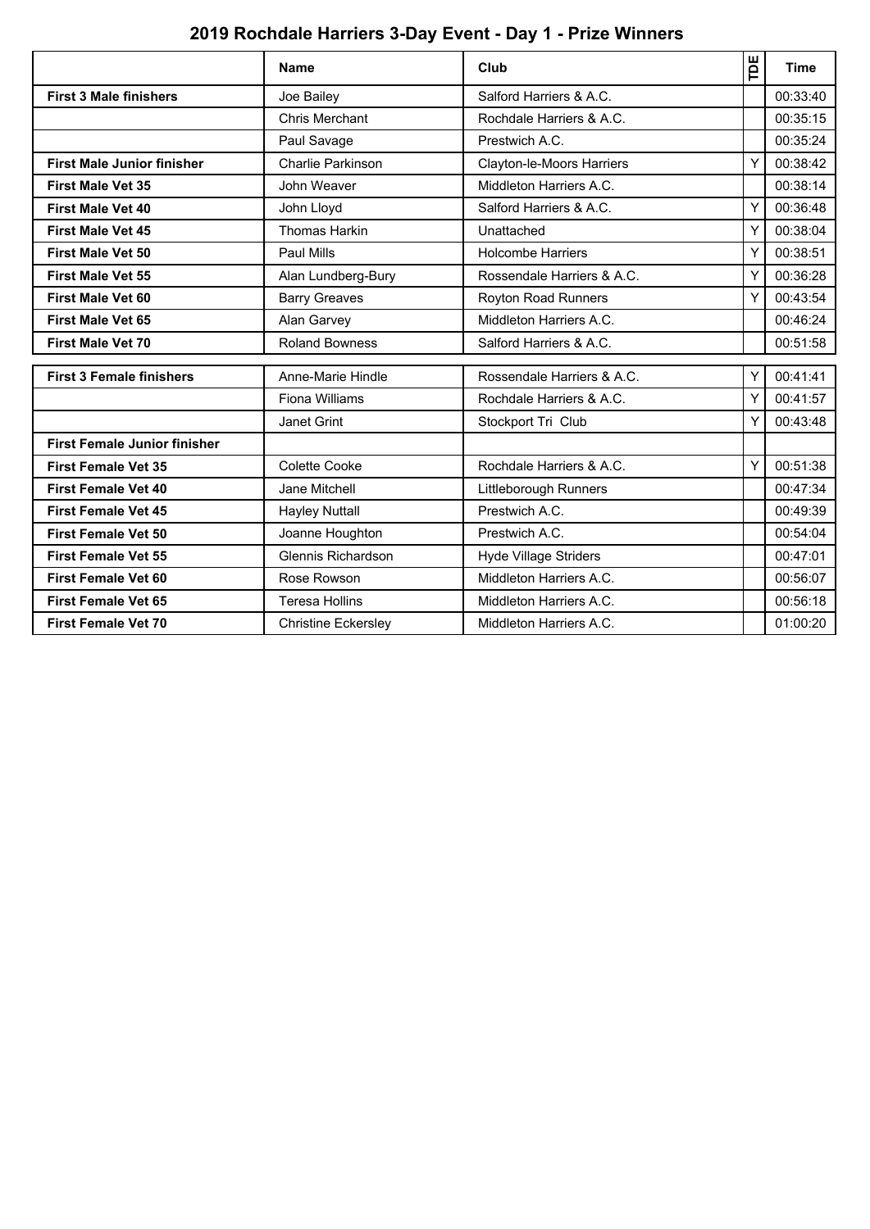# **2019 Rochdale Harriers 3-Day Event - Day 1 - Prize Winners**

|                                     | <b>Name</b>                | Club                       | Ĕ | <b>Time</b> |
|-------------------------------------|----------------------------|----------------------------|---|-------------|
| <b>First 3 Male finishers</b>       | Joe Bailey                 | Salford Harriers & A.C.    |   | 00:33:40    |
|                                     | Chris Merchant             | Rochdale Harriers & A.C.   |   | 00:35:15    |
|                                     | Paul Savage                | Prestwich A.C.             |   | 00:35:24    |
| <b>First Male Junior finisher</b>   | <b>Charlie Parkinson</b>   | Clayton-le-Moors Harriers  | Y | 00:38:42    |
| <b>First Male Vet 35</b>            | John Weaver                | Middleton Harriers A.C.    |   | 00:38:14    |
| <b>First Male Vet 40</b>            | John Lloyd                 | Salford Harriers & A.C.    | Y | 00:36:48    |
| <b>First Male Vet 45</b>            | <b>Thomas Harkin</b>       | Unattached                 | Y | 00:38:04    |
| <b>First Male Vet 50</b>            | Paul Mills                 | <b>Holcombe Harriers</b>   | Y | 00:38:51    |
| <b>First Male Vet 55</b>            | Alan Lundberg-Bury         | Rossendale Harriers & A.C. | Y | 00:36:28    |
| <b>First Male Vet 60</b>            | <b>Barry Greaves</b>       | Royton Road Runners        | Υ | 00:43:54    |
| <b>First Male Vet 65</b>            | Alan Garvey                | Middleton Harriers A.C.    |   | 00:46:24    |
| <b>First Male Vet 70</b>            | <b>Roland Bowness</b>      | Salford Harriers & A.C.    |   | 00:51:58    |
| <b>First 3 Female finishers</b>     | Anne-Marie Hindle          | Rossendale Harriers & A.C. | Y | 00:41:41    |
|                                     | Fiona Williams             | Rochdale Harriers & A.C.   | Υ | 00:41:57    |
|                                     | Janet Grint                | Stockport Tri Club         | Y | 00:43:48    |
| <b>First Female Junior finisher</b> |                            |                            |   |             |
| <b>First Female Vet 35</b>          | Colette Cooke              | Rochdale Harriers & A.C.   | Υ | 00:51:38    |
| <b>First Female Vet 40</b>          | Jane Mitchell              | Littleborough Runners      |   | 00:47:34    |
| <b>First Female Vet 45</b>          | <b>Hayley Nuttall</b>      | Prestwich A.C.             |   | 00:49:39    |
| <b>First Female Vet 50</b>          | Joanne Houghton            | Prestwich A.C.             |   | 00:54:04    |
| <b>First Female Vet 55</b>          | Glennis Richardson         | Hyde Village Striders      |   | 00:47:01    |
| <b>First Female Vet 60</b>          | Rose Rowson                | Middleton Harriers A.C.    |   | 00:56:07    |
| <b>First Female Vet 65</b>          | <b>Teresa Hollins</b>      | Middleton Harriers A.C.    |   | 00:56:18    |
| <b>First Female Vet 70</b>          | <b>Christine Eckersley</b> | Middleton Harriers A.C.    |   | 01:00:20    |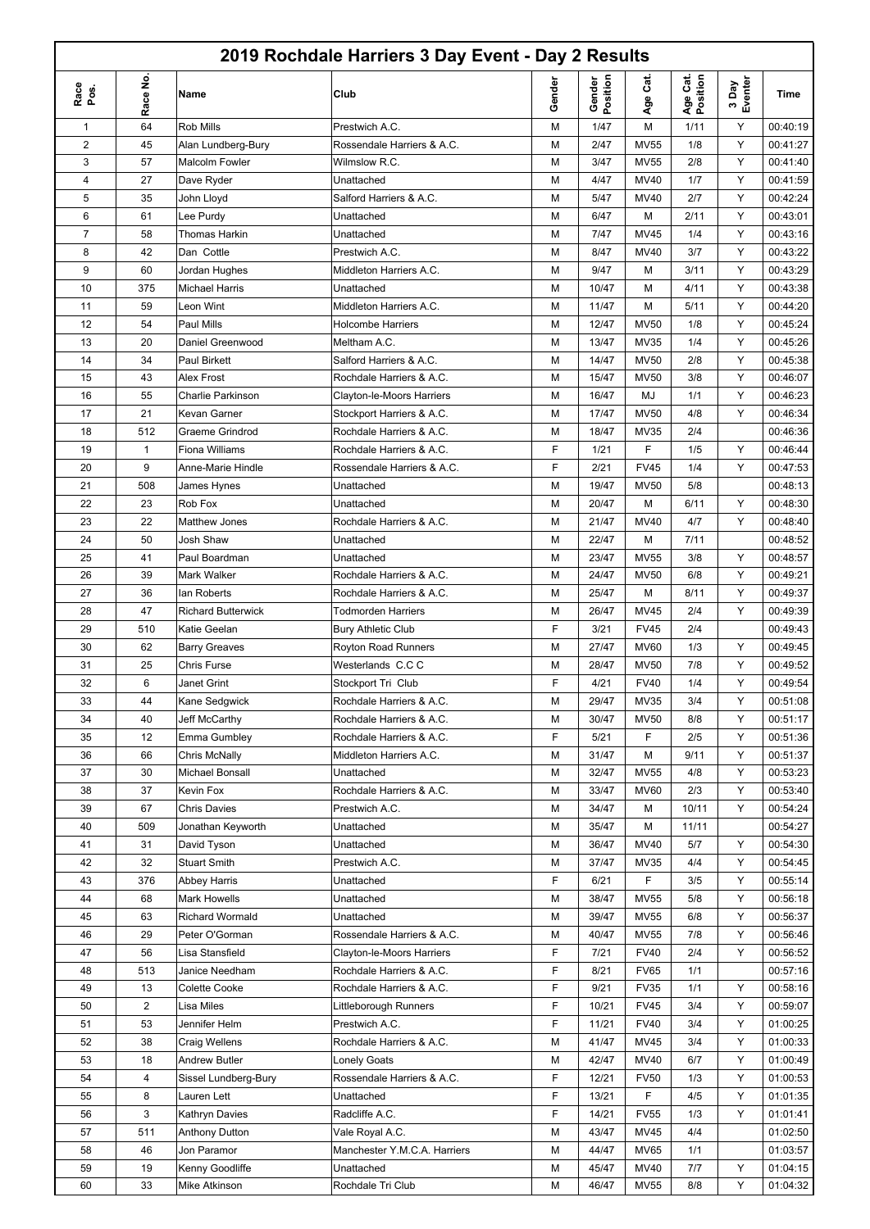### **2019 Rochdale Harriers 3 Day Event - Day 2 Results**

П

|                |              |                           | 2019 Rochdale Harriers 3 Day Event - Day 2 Results |        |                    |             |                      |                  |          |
|----------------|--------------|---------------------------|----------------------------------------------------|--------|--------------------|-------------|----------------------|------------------|----------|
| Race<br>pos.   | Race No.     | Name                      | Club                                               | Gender | Gender<br>Position | Cat.<br>Age | Age Cat.<br>Position | 3 Day<br>Eventer | Time     |
| $\mathbf{1}$   | 64           | Rob Mills                 | Prestwich A.C.                                     | М      | 1/47               | M           | 1/11                 | Υ                | 00:40:19 |
| 2              | 45           | Alan Lundberg-Bury        | Rossendale Harriers & A.C.                         | М      | 2/47               | <b>MV55</b> | 1/8                  | Υ                | 00:41:27 |
| 3              | 57           | Malcolm Fowler            | Wilmslow R.C.                                      | М      | 3/47               | <b>MV55</b> | 2/8                  | Y                | 00:41:40 |
| 4              | 27           | Dave Ryder                | Unattached                                         | M      | 4/47               | <b>MV40</b> | 1/7                  | Y                | 00:41:59 |
| 5              | 35           | John Lloyd                | Salford Harriers & A.C.                            | М      | 5/47               | <b>MV40</b> | 2/7                  | Υ                | 00:42:24 |
| 6              | 61           | Lee Purdy                 | Unattached                                         | M      | 6/47               | M           | 2/11                 | Y                | 00:43:01 |
| $\overline{7}$ | 58           | Thomas Harkin             | Unattached                                         | М      | 7/47               | <b>MV45</b> | 1/4                  | Υ                | 00:43:16 |
| 8              | 42           | Dan Cottle                | Prestwich A.C.                                     | М      | 8/47               | <b>MV40</b> | 3/7                  | Y                | 00:43:22 |
| 9              | 60           | Jordan Hughes             | Middleton Harriers A.C.                            | М      | 9/47               | M           | 3/11                 | Y                | 00:43:29 |
| 10             | 375          | <b>Michael Harris</b>     | Unattached                                         | М      | 10/47              | M           | 4/11                 | Υ                | 00:43:38 |
| 11             | 59           | Leon Wint                 | Middleton Harriers A.C.                            | М      | 11/47              | M           | 5/11                 | Y                | 00:44:20 |
| 12             | 54           | Paul Mills                | <b>Holcombe Harriers</b>                           | М      | 12/47              | <b>MV50</b> | 1/8                  | Υ                | 00:45:24 |
| 13             | 20           | Daniel Greenwood          | Meltham A.C.                                       | М      | 13/47              | <b>MV35</b> | 1/4                  | Y                | 00:45:26 |
| 14             | 34           | <b>Paul Birkett</b>       | Salford Harriers & A.C.                            | М      | 14/47              | <b>MV50</b> | 2/8                  | Y                | 00:45:38 |
| 15             | 43           | Alex Frost                | Rochdale Harriers & A.C.                           | М      | 15/47              | <b>MV50</b> | 3/8                  | Y                | 00:46:07 |
| 16             | 55           | <b>Charlie Parkinson</b>  | Clayton-le-Moors Harriers                          | М      | 16/47              | MJ          | 1/1                  | Y                | 00:46:23 |
| 17             | 21           | Kevan Garner              | Stockport Harriers & A.C.                          | М      | 17/47              | <b>MV50</b> | 4/8                  | Υ                | 00:46:34 |
| 18             | 512          | Graeme Grindrod           | Rochdale Harriers & A.C.                           | М      | 18/47              | <b>MV35</b> | 2/4                  |                  | 00:46:36 |
| 19             | $\mathbf{1}$ | <b>Fiona Williams</b>     | Rochdale Harriers & A.C.                           | F      | 1/21               | F           | 1/5                  | Υ                | 00:46:44 |
| 20             | 9            | Anne-Marie Hindle         | Rossendale Harriers & A.C.                         | F      | 2/21               | <b>FV45</b> | 1/4                  | Υ                | 00:47:53 |
| 21             | 508          | James Hynes               | Unattached                                         | М      | 19/47              | <b>MV50</b> | 5/8                  |                  | 00:48:13 |
| 22             | 23           | Rob Fox                   | Unattached                                         | М      | 20/47              | М           | 6/11                 | Υ                | 00:48:30 |
| 23             | 22           | Matthew Jones             | Rochdale Harriers & A.C.                           | М      | 21/47              | <b>MV40</b> | 4/7                  | Y                |          |
|                |              |                           |                                                    |        |                    |             |                      |                  | 00:48:40 |
| 24             | 50           | Josh Shaw                 | Unattached                                         | М      | 22/47              | M           | 7/11                 |                  | 00:48:52 |
| 25             | 41           | Paul Boardman             | Unattached                                         | М      | 23/47              | <b>MV55</b> | 3/8                  | Y                | 00:48:57 |
| 26             | 39           | Mark Walker               | Rochdale Harriers & A.C.                           | М      | 24/47              | <b>MV50</b> | 6/8                  | Υ                | 00:49:21 |
| 27             | 36           | lan Roberts               | Rochdale Harriers & A.C.                           | М      | 25/47              | M           | 8/11                 | Υ                | 00:49:37 |
| 28             | 47           | <b>Richard Butterwick</b> | <b>Todmorden Harriers</b>                          | М      | 26/47              | <b>MV45</b> | 2/4                  | Y                | 00:49:39 |
| 29             | 510          | Katie Geelan              | <b>Bury Athletic Club</b>                          | F      | 3/21               | <b>FV45</b> | 2/4                  |                  | 00:49:43 |
| 30             | 62           | <b>Barry Greaves</b>      | Royton Road Runners                                | М      | 27/47              | <b>MV60</b> | 1/3                  | Υ                | 00:49:45 |
| 31             | 25           | <b>Chris Furse</b>        | Westerlands C.C C                                  | М      | 28/47              | <b>MV50</b> | 7/8                  | Υ                | 00:49:52 |
| 32             | 6            | Janet Grint               | Stockport Tri Club                                 | F      | 4/21               | <b>FV40</b> | 1/4                  | Υ                | 00:49:54 |
| 33             | 44           | Kane Sedgwick             | Rochdale Harriers & A.C.                           | M      | 29/47              | <b>MV35</b> | 3/4                  | Y                | 00:51:08 |
| 34             | 40           | Jeff McCarthy             | Rochdale Harriers & A.C.                           | М      | 30/47              | <b>MV50</b> | 8/8                  | Y                | 00:51:17 |
| 35             | 12           | Emma Gumbley              | Rochdale Harriers & A.C.                           | F      | 5/21               | F           | 2/5                  | Υ                | 00:51:36 |
| 36             | 66           | <b>Chris McNally</b>      | Middleton Harriers A.C.                            | М      | 31/47              | M           | 9/11                 | Y                | 00:51:37 |
| 37             | 30           | Michael Bonsall           | Unattached                                         | М      | 32/47              | <b>MV55</b> | 4/8                  | Y                | 00:53:23 |
| 38             | 37           | Kevin Fox                 | Rochdale Harriers & A.C.                           | М      | 33/47              | <b>MV60</b> | 2/3                  | Y                | 00:53:40 |
| 39             | 67           | <b>Chris Davies</b>       | Prestwich A.C.                                     | М      | 34/47              | М           | 10/11                | Y                | 00:54:24 |
| 40             | 509          | Jonathan Keyworth         | Unattached                                         | М      | 35/47              | M           | 11/11                |                  | 00:54:27 |
| 41             | 31           | David Tyson               | Unattached                                         | М      | 36/47              | MV40        | 5/7                  | Y                | 00:54:30 |
| 42             | 32           | <b>Stuart Smith</b>       | Prestwich A.C.                                     | М      | 37/47              | <b>MV35</b> | 4/4                  | Υ                | 00:54:45 |
| 43             | 376          | Abbey Harris              | Unattached                                         | F      | 6/21               | F           | 3/5                  | Y                | 00:55:14 |
| 44             | 68           | Mark Howells              | Unattached                                         | М      | 38/47              | <b>MV55</b> | 5/8                  | Y                | 00:56:18 |
| 45             | 63           | Richard Wormald           | Unattached                                         | М      | 39/47              | <b>MV55</b> | 6/8                  | Y                | 00:56:37 |
| 46             | 29           | Peter O'Gorman            | Rossendale Harriers & A.C.                         | М      | 40/47              | <b>MV55</b> | 7/8                  | Y                | 00:56:46 |
| 47             | 56           | Lisa Stansfield           | Clayton-le-Moors Harriers                          | F      | 7/21               | <b>FV40</b> | 2/4                  | Y                | 00:56:52 |
| 48             | 513          | Janice Needham            | Rochdale Harriers & A.C.                           | F      | 8/21               | <b>FV65</b> | 1/1                  |                  | 00:57:16 |
| 49             | 13           | <b>Colette Cooke</b>      | Rochdale Harriers & A.C.                           | F      | 9/21               | <b>FV35</b> | 1/1                  | Y                | 00:58:16 |
| 50             | 2            | Lisa Miles                | Littleborough Runners                              | F      | 10/21              | <b>FV45</b> | 3/4                  | Υ                | 00:59:07 |
| 51             | 53           | Jennifer Helm             | Prestwich A.C.                                     | F      | 11/21              | <b>FV40</b> | 3/4                  | Υ                | 01:00:25 |
| 52             | 38           | Craig Wellens             | Rochdale Harriers & A.C.                           | М      | 41/47              | MV45        | 3/4                  | Y                | 01:00:33 |
| 53             | 18           | Andrew Butler             | <b>Lonely Goats</b>                                | М      | 42/47              | MV40        | 6/7                  | Y                | 01:00:49 |
| 54             | 4            | Sissel Lundberg-Bury      | Rossendale Harriers & A.C.                         | F      | 12/21              | <b>FV50</b> | 1/3                  | Υ                | 01:00:53 |
| 55             | 8            | Lauren Lett               | Unattached                                         | F      | 13/21              | F           | 4/5                  | Y                | 01:01:35 |
| 56             | 3            | Kathryn Davies            | Radcliffe A.C.                                     | F      | 14/21              | <b>FV55</b> | 1/3                  | Y                | 01:01:41 |
| 57             | 511          | Anthony Dutton            | Vale Royal A.C.                                    | М      | 43/47              | MV45        | 4/4                  |                  | 01:02:50 |
| 58             | 46           | Jon Paramor               | Manchester Y.M.C.A. Harriers                       | М      | 44/47              | <b>MV65</b> | 1/1                  |                  | 01:03:57 |
| 59             | 19           | Kenny Goodliffe           | Unattached                                         | М      | 45/47              | MV40        | 7/7                  | Y                | 01:04:15 |
| 60             | 33           | Mike Atkinson             | Rochdale Tri Club                                  | М      | 46/47              | <b>MV55</b> | 8/8                  | Υ                | 01:04:32 |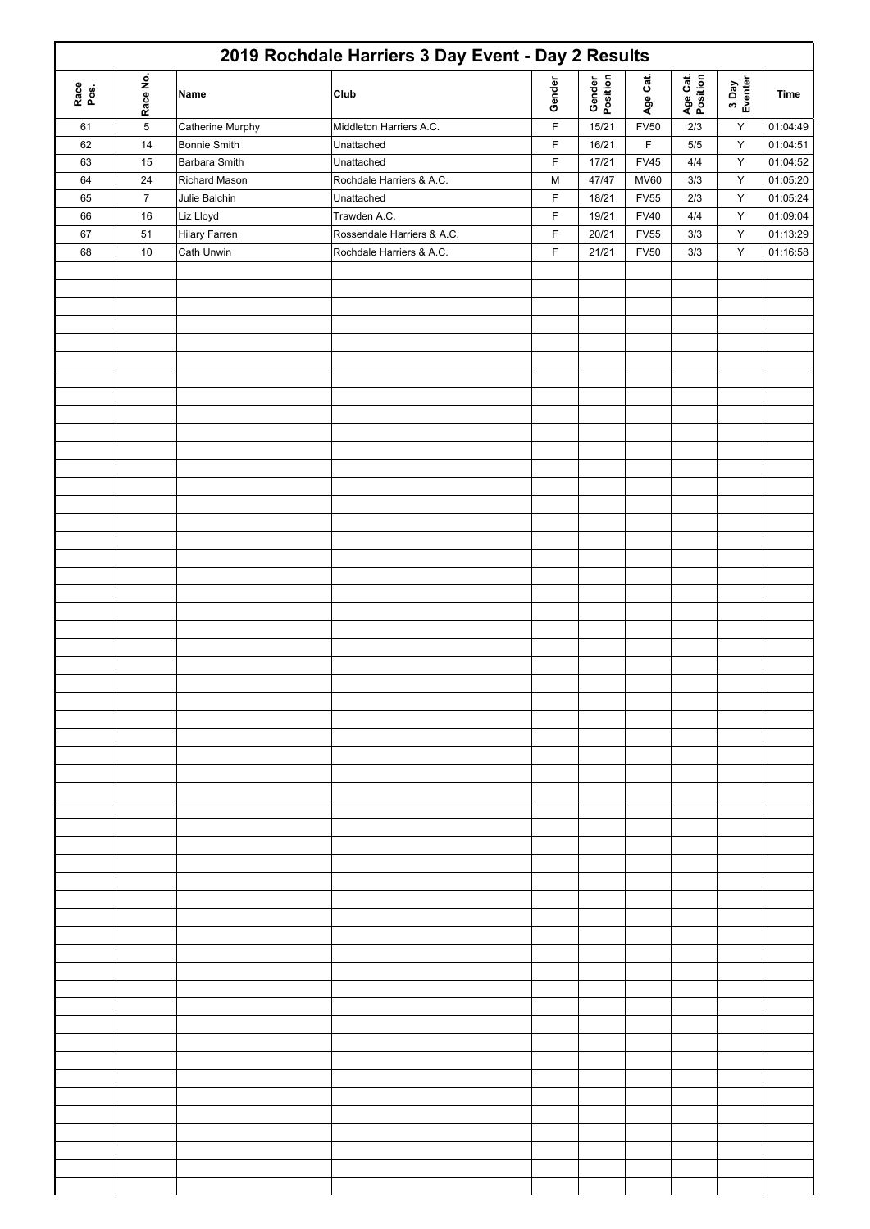|              |            |                      | 2019 Rochdale Harriers 3 Day Event - Day 2 Results |             |                    |             |                      |                  |          |
|--------------|------------|----------------------|----------------------------------------------------|-------------|--------------------|-------------|----------------------|------------------|----------|
| Race<br>Pos. | Race No.   | Name                 | Club                                               | Gender      | Gender<br>Position | Age Cat.    | Age Cat.<br>Position | 3 Day<br>Eventer | Time     |
| 61           | $\sqrt{5}$ | Catherine Murphy     | Middleton Harriers A.C.                            | $\mathsf F$ | 15/21              | <b>FV50</b> | 2/3                  | $\mathsf Y$      | 01:04:49 |
| 62           | 14         | <b>Bonnie Smith</b>  | Unattached                                         | F           | 16/21              | $\mathsf F$ | 5/5                  | Y                | 01:04:51 |
| 63           | 15         | <b>Barbara Smith</b> | Unattached                                         | F           | 17/21              | <b>FV45</b> | 4/4                  | $\sf Y$          | 01:04:52 |
|              |            |                      |                                                    |             |                    |             |                      |                  |          |
| 64           | 24         | Richard Mason        | Rochdale Harriers & A.C.                           | M           | 47/47              | <b>MV60</b> | 3/3                  | Υ                | 01:05:20 |
| 65           | $\bf 7$    | Julie Balchin        | Unattached                                         | F           | 18/21              | <b>FV55</b> | 2/3                  | Υ                | 01:05:24 |
| 66           | 16         | Liz Lloyd            | Trawden A.C.                                       | F           | 19/21              | <b>FV40</b> | $4/4\,$              | Y                | 01:09:04 |
| 67           | 51         | <b>Hilary Farren</b> | Rossendale Harriers & A.C.                         | F           | 20/21              | <b>FV55</b> | 3/3                  | $\mathsf Y$      | 01:13:29 |
| 68           | 10         | Cath Unwin           | Rochdale Harriers & A.C.                           | $\mathsf F$ | 21/21              | <b>FV50</b> | 3/3                  | $\mathsf Y$      | 01:16:58 |
|              |            |                      |                                                    |             |                    |             |                      |                  |          |
|              |            |                      |                                                    |             |                    |             |                      |                  |          |
|              |            |                      |                                                    |             |                    |             |                      |                  |          |
|              |            |                      |                                                    |             |                    |             |                      |                  |          |
|              |            |                      |                                                    |             |                    |             |                      |                  |          |
|              |            |                      |                                                    |             |                    |             |                      |                  |          |
|              |            |                      |                                                    |             |                    |             |                      |                  |          |
|              |            |                      |                                                    |             |                    |             |                      |                  |          |
|              |            |                      |                                                    |             |                    |             |                      |                  |          |
|              |            |                      |                                                    |             |                    |             |                      |                  |          |
|              |            |                      |                                                    |             |                    |             |                      |                  |          |
|              |            |                      |                                                    |             |                    |             |                      |                  |          |
|              |            |                      |                                                    |             |                    |             |                      |                  |          |
|              |            |                      |                                                    |             |                    |             |                      |                  |          |
|              |            |                      |                                                    |             |                    |             |                      |                  |          |
|              |            |                      |                                                    |             |                    |             |                      |                  |          |
|              |            |                      |                                                    |             |                    |             |                      |                  |          |
|              |            |                      |                                                    |             |                    |             |                      |                  |          |
|              |            |                      |                                                    |             |                    |             |                      |                  |          |
|              |            |                      |                                                    |             |                    |             |                      |                  |          |
|              |            |                      |                                                    |             |                    |             |                      |                  |          |
|              |            |                      |                                                    |             |                    |             |                      |                  |          |
|              |            |                      |                                                    |             |                    |             |                      |                  |          |
|              |            |                      |                                                    |             |                    |             |                      |                  |          |
|              |            |                      |                                                    |             |                    |             |                      |                  |          |
|              |            |                      |                                                    |             |                    |             |                      |                  |          |
|              |            |                      |                                                    |             |                    |             |                      |                  |          |
|              |            |                      |                                                    |             |                    |             |                      |                  |          |
|              |            |                      |                                                    |             |                    |             |                      |                  |          |
|              |            |                      |                                                    |             |                    |             |                      |                  |          |
|              |            |                      |                                                    |             |                    |             |                      |                  |          |
|              |            |                      |                                                    |             |                    |             |                      |                  |          |
|              |            |                      |                                                    |             |                    |             |                      |                  |          |
|              |            |                      |                                                    |             |                    |             |                      |                  |          |
|              |            |                      |                                                    |             |                    |             |                      |                  |          |
|              |            |                      |                                                    |             |                    |             |                      |                  |          |
|              |            |                      |                                                    |             |                    |             |                      |                  |          |
|              |            |                      |                                                    |             |                    |             |                      |                  |          |
|              |            |                      |                                                    |             |                    |             |                      |                  |          |
|              |            |                      |                                                    |             |                    |             |                      |                  |          |
|              |            |                      |                                                    |             |                    |             |                      |                  |          |
|              |            |                      |                                                    |             |                    |             |                      |                  |          |
|              |            |                      |                                                    |             |                    |             |                      |                  |          |
|              |            |                      |                                                    |             |                    |             |                      |                  |          |
|              |            |                      |                                                    |             |                    |             |                      |                  |          |
|              |            |                      |                                                    |             |                    |             |                      |                  |          |
|              |            |                      |                                                    |             |                    |             |                      |                  |          |
|              |            |                      |                                                    |             |                    |             |                      |                  |          |
|              |            |                      |                                                    |             |                    |             |                      |                  |          |
|              |            |                      |                                                    |             |                    |             |                      |                  |          |
|              |            |                      |                                                    |             |                    |             |                      |                  |          |
|              |            |                      |                                                    |             |                    |             |                      |                  |          |
|              |            |                      |                                                    |             |                    |             |                      |                  |          |
|              |            |                      |                                                    |             |                    |             |                      |                  |          |
|              |            |                      |                                                    |             |                    |             |                      |                  |          |
|              |            |                      |                                                    |             |                    |             |                      |                  |          |
|              |            |                      |                                                    |             |                    |             |                      |                  |          |
|              |            |                      |                                                    |             |                    |             |                      |                  |          |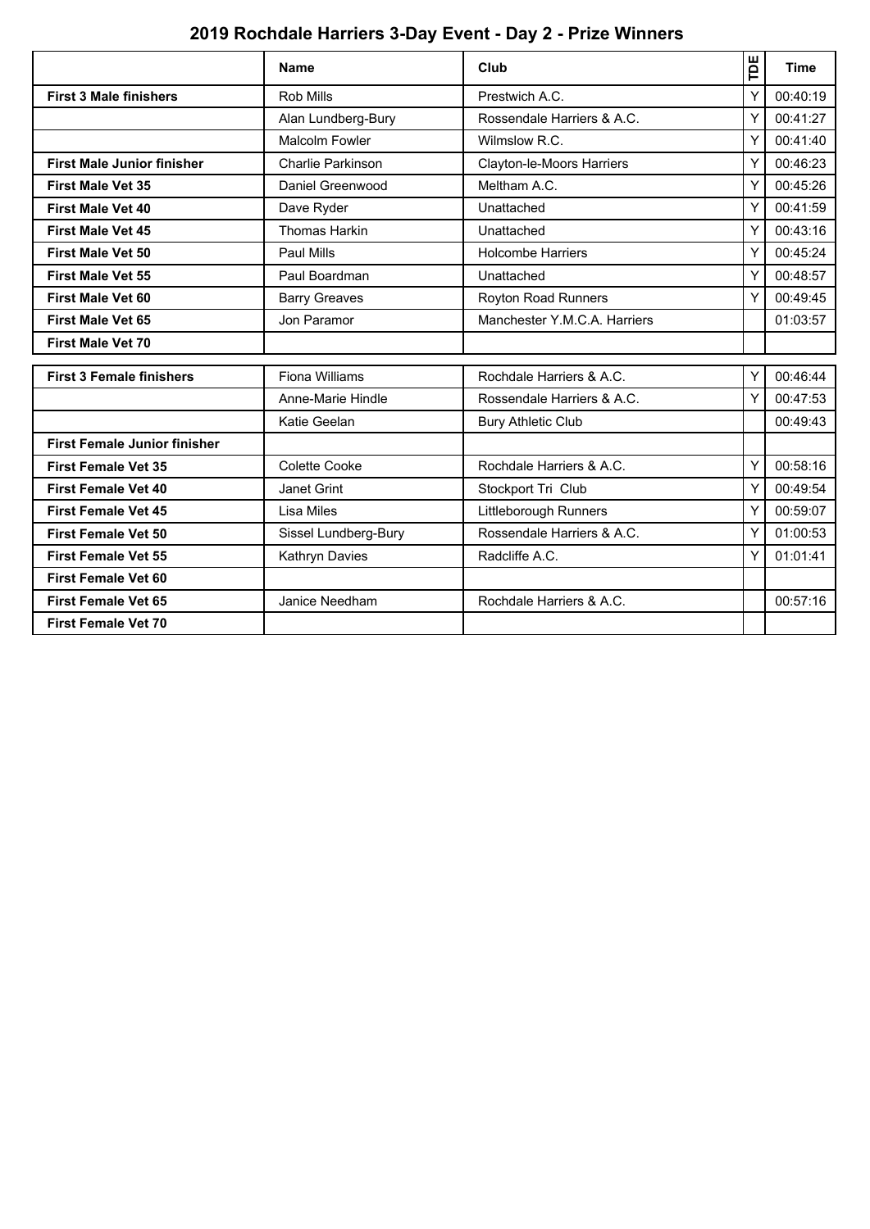# **2019 Rochdale Harriers 3-Day Event - Day 2 - Prize Winners**

|                                     | <b>Name</b>              | Club                         | Έ | <b>Time</b> |
|-------------------------------------|--------------------------|------------------------------|---|-------------|
| <b>First 3 Male finishers</b>       | <b>Rob Mills</b>         | Prestwich A.C.               | Y | 00:40:19    |
|                                     | Alan Lundberg-Bury       | Rossendale Harriers & A.C.   | Y | 00:41:27    |
|                                     | Malcolm Fowler           | Wilmslow R.C.                | Υ | 00:41:40    |
| <b>First Male Junior finisher</b>   | <b>Charlie Parkinson</b> | Clayton-le-Moors Harriers    | Υ | 00:46:23    |
| <b>First Male Vet 35</b>            | Daniel Greenwood         | Meltham A.C.                 | Y | 00:45:26    |
| <b>First Male Vet 40</b>            | Dave Ryder               | Unattached                   | Y | 00:41:59    |
| <b>First Male Vet 45</b>            | <b>Thomas Harkin</b>     | Unattached                   | Υ | 00:43:16    |
| <b>First Male Vet 50</b>            | Paul Mills               | <b>Holcombe Harriers</b>     | Υ | 00:45:24    |
| <b>First Male Vet 55</b>            | Paul Boardman            | Unattached                   | Y | 00:48:57    |
| <b>First Male Vet 60</b>            | <b>Barry Greaves</b>     | Royton Road Runners          | Υ | 00:49:45    |
| <b>First Male Vet 65</b>            | Jon Paramor              | Manchester Y.M.C.A. Harriers |   | 01:03:57    |
| <b>First Male Vet 70</b>            |                          |                              |   |             |
| <b>First 3 Female finishers</b>     | Fiona Williams           | Rochdale Harriers & A.C.     |   | 00:46:44    |
|                                     | Anne-Marie Hindle        | Rossendale Harriers & A.C.   | Y | 00:47:53    |
|                                     | Katie Geelan             | <b>Bury Athletic Club</b>    |   | 00:49:43    |
| <b>First Female Junior finisher</b> |                          |                              |   |             |
| <b>First Female Vet 35</b>          | Colette Cooke            | Rochdale Harriers & A.C.     | Y | 00:58:16    |
| <b>First Female Vet 40</b>          | Janet Grint              | Stockport Tri Club           | Y | 00:49:54    |
| <b>First Female Vet 45</b>          | Lisa Miles               | Littleborough Runners        | Y | 00:59:07    |
| <b>First Female Vet 50</b>          | Sissel Lundberg-Bury     | Rossendale Harriers & A.C.   | Y | 01:00:53    |
| <b>First Female Vet 55</b>          | Kathryn Davies           | Radcliffe A.C.               | Y | 01:01:41    |
| <b>First Female Vet 60</b>          |                          |                              |   |             |
| <b>First Female Vet 65</b>          | Janice Needham           | Rochdale Harriers & A.C.     |   | 00:57:16    |
| <b>First Female Vet 70</b>          |                          |                              |   |             |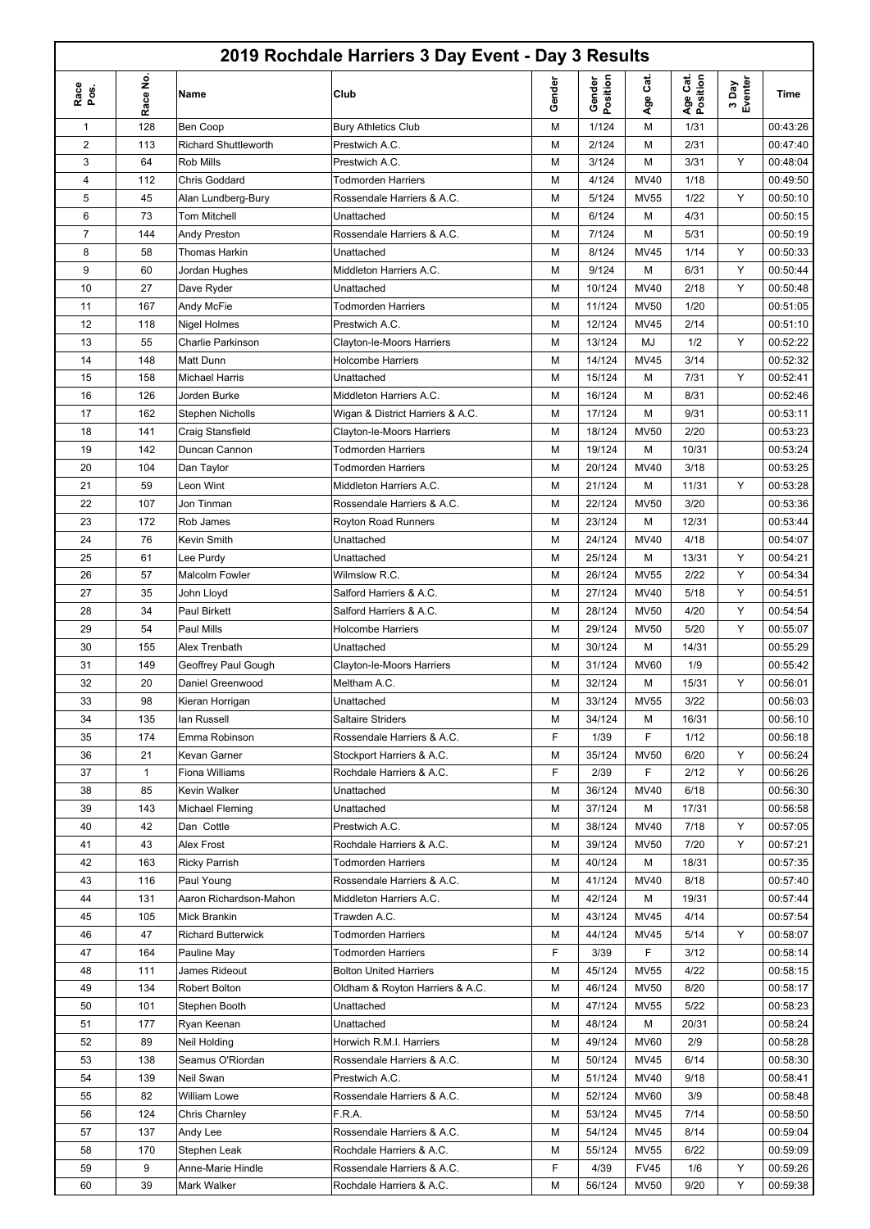### **2019 Rochdale Harriers 3 Day Event - Day 3 Results**

- r

|                |          |                             | 2019 Rochdale Harriers 3 Day Event - Day 3 Results |        |                    |             |                      |                  |          |
|----------------|----------|-----------------------------|----------------------------------------------------|--------|--------------------|-------------|----------------------|------------------|----------|
| Race<br>pos.   | Race No. | Name                        | Club                                               | Gender | Gender<br>Position | Cat.<br>Age | Age Cat.<br>Position | 3 Day<br>Eventer | Time     |
| 1              | 128      | Ben Coop                    | <b>Bury Athletics Club</b>                         | М      | 1/124              | M           | 1/31                 |                  | 00:43:26 |
| 2              | 113      | <b>Richard Shuttleworth</b> | Prestwich A.C.                                     | М      | 2/124              | M           | 2/31                 |                  | 00:47:40 |
| 3              | 64       | <b>Rob Mills</b>            | Prestwich A.C.                                     | М      | 3/124              | M           | 3/31                 | Y                | 00:48:04 |
| 4              | 112      | Chris Goddard               | <b>Todmorden Harriers</b>                          | М      | 4/124              | MV40        | 1/18                 |                  | 00:49:50 |
| 5              | 45       | Alan Lundberg-Bury          | Rossendale Harriers & A.C.                         | М      | 5/124              | <b>MV55</b> | 1/22                 | Y                | 00:50:10 |
| 6              | 73       | Tom Mitchell                | Unattached                                         | М      | 6/124              | M           | 4/31                 |                  | 00:50:15 |
| $\overline{7}$ | 144      | Andy Preston                | Rossendale Harriers & A.C.                         | М      | 7/124              | M           | 5/31                 |                  | 00:50:19 |
| 8              | 58       | Thomas Harkin               | Unattached                                         | М      | 8/124              | <b>MV45</b> | 1/14                 | Y                | 00:50:33 |
| 9              | 60       | Jordan Hughes               | Middleton Harriers A.C.                            | М      | 9/124              | M           | 6/31                 | Υ                | 00:50:44 |
| 10             | 27       | Dave Ryder                  | Unattached                                         | М      | 10/124             | MV40        | 2/18                 | Y                | 00:50:48 |
| 11             | 167      | Andy McFie                  | <b>Todmorden Harriers</b>                          | М      | 11/124             | <b>MV50</b> | 1/20                 |                  | 00:51:05 |
| 12             | 118      | Nigel Holmes                | Prestwich A.C.                                     | М      | 12/124             | <b>MV45</b> | 2/14                 |                  | 00:51:10 |
| 13             | 55       | <b>Charlie Parkinson</b>    | Clayton-le-Moors Harriers                          | М      | 13/124             | MJ          | 1/2                  | Y                | 00:52:22 |
| 14             | 148      | Matt Dunn                   | <b>Holcombe Harriers</b>                           | М      | 14/124             | <b>MV45</b> | 3/14                 |                  | 00:52:32 |
| 15             | 158      | <b>Michael Harris</b>       | Unattached                                         | М      | 15/124             | M           | 7/31                 | Υ                | 00:52:41 |
| 16             | 126      | Jorden Burke                | Middleton Harriers A.C.                            | М      | 16/124             | M           | 8/31                 |                  | 00:52:46 |
| 17             | 162      | <b>Stephen Nicholls</b>     | Wigan & District Harriers & A.C.                   | М      | 17/124             | M           | 9/31                 |                  | 00:53:11 |
| 18             | 141      | Craig Stansfield            | Clayton-le-Moors Harriers                          | М      | 18/124             | <b>MV50</b> | 2/20                 |                  | 00:53:23 |
| 19             | 142      | Duncan Cannon               | <b>Todmorden Harriers</b>                          | М      | 19/124             | M           | 10/31                |                  | 00:53:24 |
| 20             | 104      | Dan Taylor                  | <b>Todmorden Harriers</b>                          | М      | 20/124             | MV40        | 3/18                 |                  | 00:53:25 |
| 21             | 59       | Leon Wint                   | Middleton Harriers A.C.                            | М      | 21/124             | М           | 11/31                | Υ                | 00:53:28 |
| 22             | 107      | Jon Tinman                  | Rossendale Harriers & A.C.                         | М      | 22/124             | <b>MV50</b> | 3/20                 |                  | 00:53:36 |
| 23             | 172      |                             |                                                    |        | 23/124             | M           | 12/31                |                  | 00:53:44 |
|                |          | Rob James                   | Royton Road Runners                                | М      |                    |             |                      |                  |          |
| 24             | 76       | Kevin Smith                 | Unattached                                         | М      | 24/124             | MV40        | 4/18                 |                  | 00:54:07 |
| 25             | 61       | Lee Purdy                   | Unattached                                         | М      | 25/124             | M           | 13/31                | Υ                | 00:54:21 |
| 26             | 57       | Malcolm Fowler              | Wilmslow R.C.                                      | М      | 26/124             | <b>MV55</b> | 2/22                 | Υ                | 00:54:34 |
| 27             | 35       | John Lloyd                  | Salford Harriers & A.C.                            | М      | 27/124             | MV40        | 5/18                 | Y                | 00:54:51 |
| 28             | 34       | Paul Birkett                | Salford Harriers & A.C.                            | М      | 28/124             | <b>MV50</b> | 4/20                 | Υ                | 00:54:54 |
| 29             | 54       | Paul Mills                  | <b>Holcombe Harriers</b>                           | М      | 29/124             | <b>MV50</b> | 5/20                 | Y                | 00:55:07 |
| 30             | 155      | Alex Trenbath               | Unattached                                         | М      | 30/124             | M           | 14/31                |                  | 00:55:29 |
| 31             | 149      | Geoffrey Paul Gough         | Clayton-le-Moors Harriers                          | М      | 31/124             | <b>MV60</b> | 1/9                  |                  | 00:55:42 |
| 32             | 20       | Daniel Greenwood            | Meltham A.C.                                       | М      | 32/124             | M           | 15/31                | Y                | 00:56:01 |
| 33             | 98       | Kieran Horrigan             | Unattached                                         | М      | 33/124             | <b>MV55</b> | 3/22                 |                  | 00:56:03 |
| 34             | 135      | lan Russell                 | <b>Saltaire Striders</b>                           | М      | 34/124             | M           | 16/31                |                  | 00:56:10 |
| 35             | 174      | Emma Robinson               | Rossendale Harriers & A.C.                         | F      | 1/39               | F           | 1/12                 |                  | 00:56:18 |
| 36             | 21       | Kevan Garner                | Stockport Harriers & A.C.                          | М      | 35/124             | <b>MV50</b> | 6/20                 | Υ                | 00:56:24 |
| 37             | 1        | Fiona Williams              | Rochdale Harriers & A.C.                           | F      | 2/39               | F           | 2/12                 | Υ                | 00:56:26 |
| 38             | 85       | Kevin Walker                | Unattached                                         | М      | 36/124             | MV40        | 6/18                 |                  | 00:56:30 |
| 39             | 143      | Michael Fleming             | Unattached                                         | М      | 37/124             | М           | 17/31                |                  | 00:56:58 |
| 40             | 42       | Dan Cottle                  | Prestwich A.C.                                     | М      | 38/124             | MV40        | 7/18                 | Y                | 00:57:05 |
| 41             | 43       | Alex Frost                  | Rochdale Harriers & A.C.                           | М      | 39/124             | <b>MV50</b> | 7/20                 | Y                | 00:57:21 |
| 42             | 163      | <b>Ricky Parrish</b>        | <b>Todmorden Harriers</b>                          | М      | 40/124             | М           | 18/31                |                  | 00:57:35 |
| 43             | 116      | Paul Young                  | Rossendale Harriers & A.C.                         | М      | 41/124             | MV40        | 8/18                 |                  | 00:57:40 |
| 44             | 131      | Aaron Richardson-Mahon      | Middleton Harriers A.C.                            | М      | 42/124             | М           | 19/31                |                  | 00:57:44 |
| 45             | 105      | Mick Brankin                | Trawden A.C.                                       | М      | 43/124             | <b>MV45</b> | 4/14                 |                  | 00:57:54 |
| 46             | 47       | <b>Richard Butterwick</b>   | <b>Todmorden Harriers</b>                          | М      | 44/124             | MV45        | 5/14                 | Υ                | 00:58:07 |
| 47             | 164      | Pauline May                 | <b>Todmorden Harriers</b>                          | F      | 3/39               | F           | 3/12                 |                  | 00:58:14 |
| 48             | 111      | James Rideout               | <b>Bolton United Harriers</b>                      | М      | 45/124             | <b>MV55</b> | 4/22                 |                  | 00:58:15 |
| 49             | 134      | Robert Bolton               | Oldham & Royton Harriers & A.C.                    | М      | 46/124             | <b>MV50</b> | 8/20                 |                  | 00:58:17 |
| 50             | 101      | Stephen Booth               | Unattached                                         | М      | 47/124             | <b>MV55</b> | 5/22                 |                  | 00:58:23 |
| 51             | 177      | Ryan Keenan                 | Unattached                                         | М      | 48/124             | М           | 20/31                |                  | 00:58:24 |
| 52             | 89       | Neil Holding                | Horwich R.M.I. Harriers                            | М      | 49/124             | <b>MV60</b> | 2/9                  |                  | 00:58:28 |
| 53             | 138      | Seamus O'Riordan            | Rossendale Harriers & A.C.                         | М      | 50/124             | <b>MV45</b> | 6/14                 |                  | 00:58:30 |
| 54             | 139      | Neil Swan                   | Prestwich A.C.                                     | М      | 51/124             | MV40        | 9/18                 |                  | 00:58:41 |
| 55             | 82       | William Lowe                | Rossendale Harriers & A.C.                         | М      | 52/124             | <b>MV60</b> | 3/9                  |                  | 00:58:48 |
| 56             | 124      | Chris Charnley              | F.R.A.                                             | М      | 53/124             | MV45        | 7/14                 |                  | 00:58:50 |
| 57             | 137      | Andy Lee                    | Rossendale Harriers & A.C.                         | М      | 54/124             | MV45        | 8/14                 |                  | 00:59:04 |
| 58             | 170      | Stephen Leak                | Rochdale Harriers & A.C.                           | М      | 55/124             | <b>MV55</b> | 6/22                 |                  | 00:59:09 |
| 59             | 9        | Anne-Marie Hindle           | Rossendale Harriers & A.C.                         | F      | 4/39               | <b>FV45</b> | 1/6                  | Y                | 00:59:26 |
| 60             | 39       | Mark Walker                 | Rochdale Harriers & A.C.                           | М      | 56/124             | <b>MV50</b> | 9/20                 | Υ                | 00:59:38 |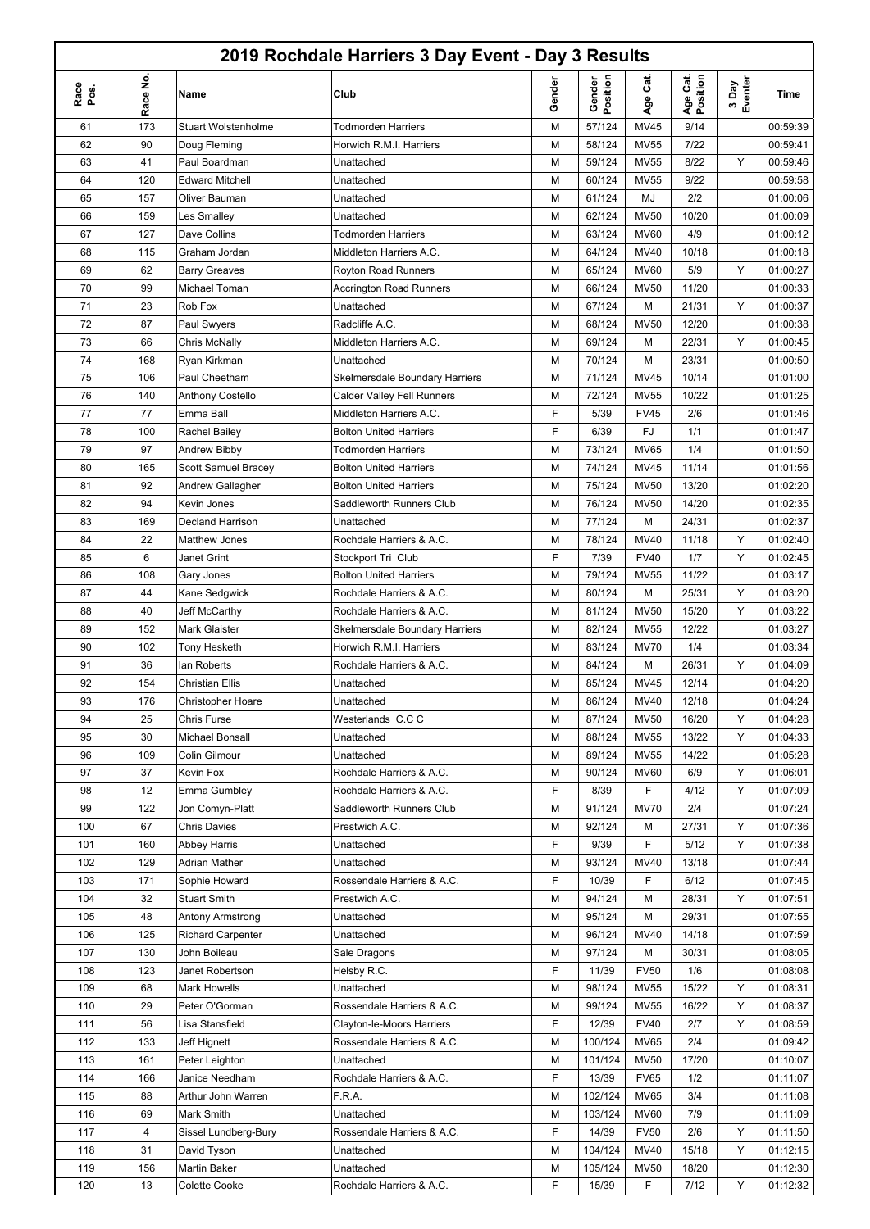# **2019 Rochdale Harriers 3 Day Event - Day 3 Results**

- r

|              |          |                            | 2019 Rochdale Harriers 3 Day Event - Day 3 Results |        |                    |             |                      |                  |             |
|--------------|----------|----------------------------|----------------------------------------------------|--------|--------------------|-------------|----------------------|------------------|-------------|
| Race<br>pos. | Race No. | Name                       | Club                                               | Gender | Gender<br>Position | Age Cat.    | Age Cat.<br>Position | 3 Day<br>Eventer | <b>Time</b> |
| 61           | 173      | <b>Stuart Wolstenholme</b> | <b>Todmorden Harriers</b>                          | М      | 57/124             | <b>MV45</b> | 9/14                 |                  | 00:59:39    |
| 62           | 90       | Doug Fleming               | Horwich R.M.I. Harriers                            | М      | 58/124             | <b>MV55</b> | 7/22                 |                  | 00:59:41    |
| 63           | 41       | Paul Boardman              | Unattached                                         | М      | 59/124             | <b>MV55</b> | 8/22                 | Υ                | 00:59:46    |
| 64           | 120      | <b>Edward Mitchell</b>     | Unattached                                         | М      | 60/124             | <b>MV55</b> | 9/22                 |                  | 00:59:58    |
| 65           | 157      | Oliver Bauman              | Unattached                                         | М      | 61/124             | MJ          | 2/2                  |                  | 01:00:06    |
| 66           | 159      | Les Smalley                | Unattached                                         | М      | 62/124             | <b>MV50</b> | 10/20                |                  | 01:00:09    |
| 67           | 127      | Dave Collins               | <b>Todmorden Harriers</b>                          | М      | 63/124             | <b>MV60</b> | 4/9                  |                  | 01:00:12    |
| 68           | 115      | Graham Jordan              | Middleton Harriers A.C.                            | М      | 64/124             | <b>MV40</b> | 10/18                |                  | 01:00:18    |
| 69           | 62       | <b>Barry Greaves</b>       | <b>Royton Road Runners</b>                         | М      | 65/124             | <b>MV60</b> | 5/9                  | Υ                | 01:00:27    |
| 70           | 99       | Michael Toman              | <b>Accrington Road Runners</b>                     | М      | 66/124             | <b>MV50</b> | 11/20                |                  | 01:00:33    |
| 71           | 23       | Rob Fox                    | Unattached                                         | М      | 67/124             | М           | 21/31                | Y                | 01:00:37    |
| 72           | 87       | Paul Swyers                | Radcliffe A.C.                                     | М      | 68/124             | <b>MV50</b> | 12/20                |                  | 01:00:38    |
| 73           | 66       | <b>Chris McNally</b>       | Middleton Harriers A.C.                            | М      | 69/124             | M           | 22/31                | Y                | 01:00:45    |
| 74           | 168      | Ryan Kirkman               | Unattached                                         | М      | 70/124             | M           | 23/31                |                  | 01:00:50    |
| 75           | 106      | Paul Cheetham              | <b>Skelmersdale Boundary Harriers</b>              | М      | 71/124             | MV45        | 10/14                |                  | 01:01:00    |
| 76           | 140      | Anthony Costello           | <b>Calder Valley Fell Runners</b>                  | М      | 72/124             | <b>MV55</b> | 10/22                |                  | 01:01:25    |
| 77           | 77       | Emma Ball                  | Middleton Harriers A.C.                            | F      | 5/39               | <b>FV45</b> | 2/6                  |                  | 01:01:46    |
| 78           | 100      | Rachel Bailey              | <b>Bolton United Harriers</b>                      | F      | 6/39               | FJ          | 1/1                  |                  | 01:01:47    |
| 79           | 97       | Andrew Bibby               | <b>Todmorden Harriers</b>                          | М      | 73/124             | <b>MV65</b> | 1/4                  |                  | 01:01:50    |
| 80           | 165      | Scott Samuel Bracey        | <b>Bolton United Harriers</b>                      | М      | 74/124             | <b>MV45</b> | 11/14                |                  | 01:01:56    |
| 81           | 92       | Andrew Gallagher           | <b>Bolton United Harriers</b>                      | М      | 75/124             | <b>MV50</b> | 13/20                |                  | 01:02:20    |
| 82           | 94       | Kevin Jones                | Saddleworth Runners Club                           | М      | 76/124             | <b>MV50</b> | 14/20                |                  | 01:02:35    |
| 83           | 169      | Decland Harrison           | Unattached                                         | М      | 77/124             | М           | 24/31                |                  | 01:02:37    |
| 84           | 22       | <b>Matthew Jones</b>       | Rochdale Harriers & A.C.                           | М      | 78/124             | <b>MV40</b> | 11/18                | Y                | 01:02:40    |
| 85           | 6        | Janet Grint                | Stockport Tri Club                                 | F      | 7/39               | <b>FV40</b> | 1/7                  | Y                | 01:02:45    |
| 86           | 108      | Gary Jones                 | <b>Bolton United Harriers</b>                      | М      | 79/124             | <b>MV55</b> | 11/22                |                  | 01:03:17    |
| 87           | 44       | Kane Sedgwick              | Rochdale Harriers & A.C.                           | М      | 80/124             | М           | 25/31                | Y                | 01:03:20    |
| 88           | 40       | Jeff McCarthy              | Rochdale Harriers & A.C.                           | М      | 81/124             | <b>MV50</b> | 15/20                | Y                | 01:03:22    |
| 89           | 152      | Mark Glaister              | Skelmersdale Boundary Harriers                     | М      | 82/124             | <b>MV55</b> | 12/22                |                  | 01:03:27    |
| 90           | 102      | Tony Hesketh               | Horwich R.M.I. Harriers                            | М      | 83/124             | <b>MV70</b> | 1/4                  |                  | 01:03:34    |
| 91           | 36       | lan Roberts                | Rochdale Harriers & A.C.                           | М      | 84/124             | М           | 26/31                | Y                | 01:04:09    |
| 92           | 154      | Christian Ellis            | Unattached                                         | М      | 85/124             | <b>MV45</b> | 12/14                |                  | 01:04:20    |
| 93           | 176      | <b>Christopher Hoare</b>   | Unattached                                         | М      | 86/124             | MV40        | 12/18                |                  | 01:04:24    |
| 94           | 25       | Chris Furse                | Westerlands C.C C                                  | М      | 87/124             | <b>MV50</b> | 16/20                | Υ                | 01:04:28    |
| 95           | 30       | Michael Bonsall            | Unattached                                         | М      | 88/124             | <b>MV55</b> | 13/22                | Y                | 01:04:33    |
| 96           | 109      | Colin Gilmour              | Unattached                                         | М      | 89/124             | <b>MV55</b> | 14/22                |                  | 01:05:28    |
| 97           | 37       | Kevin Fox                  | Rochdale Harriers & A.C.                           | М      | 90/124             | <b>MV60</b> | 6/9                  | Y                | 01:06:01    |
| 98           | 12       | Emma Gumbley               | Rochdale Harriers & A.C.                           | F      | 8/39               | F           | 4/12                 | Y                | 01:07:09    |
| 99           | 122      | Jon Comyn-Platt            | Saddleworth Runners Club                           | М      | 91/124             | <b>MV70</b> | 2/4                  |                  | 01:07:24    |
| 100          | 67       | <b>Chris Davies</b>        | Prestwich A.C.                                     | М      | 92/124             | М           | 27/31                | Y                | 01:07:36    |
| 101          | 160      | <b>Abbey Harris</b>        | Unattached                                         | F      | 9/39               | F           | 5/12                 | Y                | 01:07:38    |
| 102          | 129      | Adrian Mather              | Unattached                                         | М      | 93/124             | MV40        | 13/18                |                  | 01:07:44    |
| 103          | 171      | Sophie Howard              | Rossendale Harriers & A.C.                         | F      | 10/39              | F           | 6/12                 |                  | 01:07:45    |
| 104          | 32       | <b>Stuart Smith</b>        | Prestwich A.C.                                     | М      | 94/124             | M           | 28/31                | Y                | 01:07:51    |
| 105          | 48       | Antony Armstrong           | Unattached                                         | М      | 95/124             | M           | 29/31                |                  | 01:07:55    |
| 106          | 125      | <b>Richard Carpenter</b>   | Unattached                                         | М      | 96/124             | <b>MV40</b> | 14/18                |                  | 01:07:59    |
| 107          | 130      | John Boileau               | Sale Dragons                                       | М      | 97/124             | M           | 30/31                |                  | 01:08:05    |
| 108          | 123      | Janet Robertson            | Helsby R.C.                                        | F      | 11/39              | <b>FV50</b> | 1/6                  |                  | 01:08:08    |
| 109          | 68       | <b>Mark Howells</b>        | Unattached                                         | М      | 98/124             | <b>MV55</b> | 15/22                | Y                | 01:08:31    |
| 110          | 29       | Peter O'Gorman             | Rossendale Harriers & A.C.                         | М      | 99/124             | <b>MV55</b> | 16/22                | Υ                | 01:08:37    |
| 111          | 56       | Lisa Stansfield            | Clayton-le-Moors Harriers                          | F      | 12/39              | <b>FV40</b> | 2/7                  | Υ                | 01:08:59    |
| 112          | 133      | Jeff Hignett               | Rossendale Harriers & A.C.                         | М      | 100/124            | <b>MV65</b> | 2/4                  |                  | 01:09:42    |
| 113          | 161      | Peter Leighton             | Unattached                                         | М      | 101/124            | <b>MV50</b> | 17/20                |                  | 01:10:07    |
| 114          | 166      | Janice Needham             | Rochdale Harriers & A.C.                           | F      | 13/39              | <b>FV65</b> | 1/2                  |                  | 01:11:07    |
| 115          | 88       | Arthur John Warren         | F.R.A.                                             | М      | 102/124            | <b>MV65</b> | 3/4                  |                  | 01:11:08    |
| 116          | 69       | Mark Smith                 | Unattached                                         | М      | 103/124            | <b>MV60</b> | 7/9                  |                  | 01:11:09    |
| 117          | 4        | Sissel Lundberg-Bury       | Rossendale Harriers & A.C.                         | F      | 14/39              | <b>FV50</b> | 2/6                  | Y                | 01:11:50    |
| 118          | 31       | David Tyson                | Unattached                                         | М      | 104/124            | MV40        | 15/18                | Y                | 01:12:15    |
| 119          | 156      | Martin Baker               | Unattached                                         | М      | 105/124            | <b>MV50</b> | 18/20                |                  | 01:12:30    |
| 120          | 13       | Colette Cooke              | Rochdale Harriers & A.C.                           | F      | 15/39              | F           | 7/12                 | Y                | 01:12:32    |
|              |          |                            |                                                    |        |                    |             |                      |                  |             |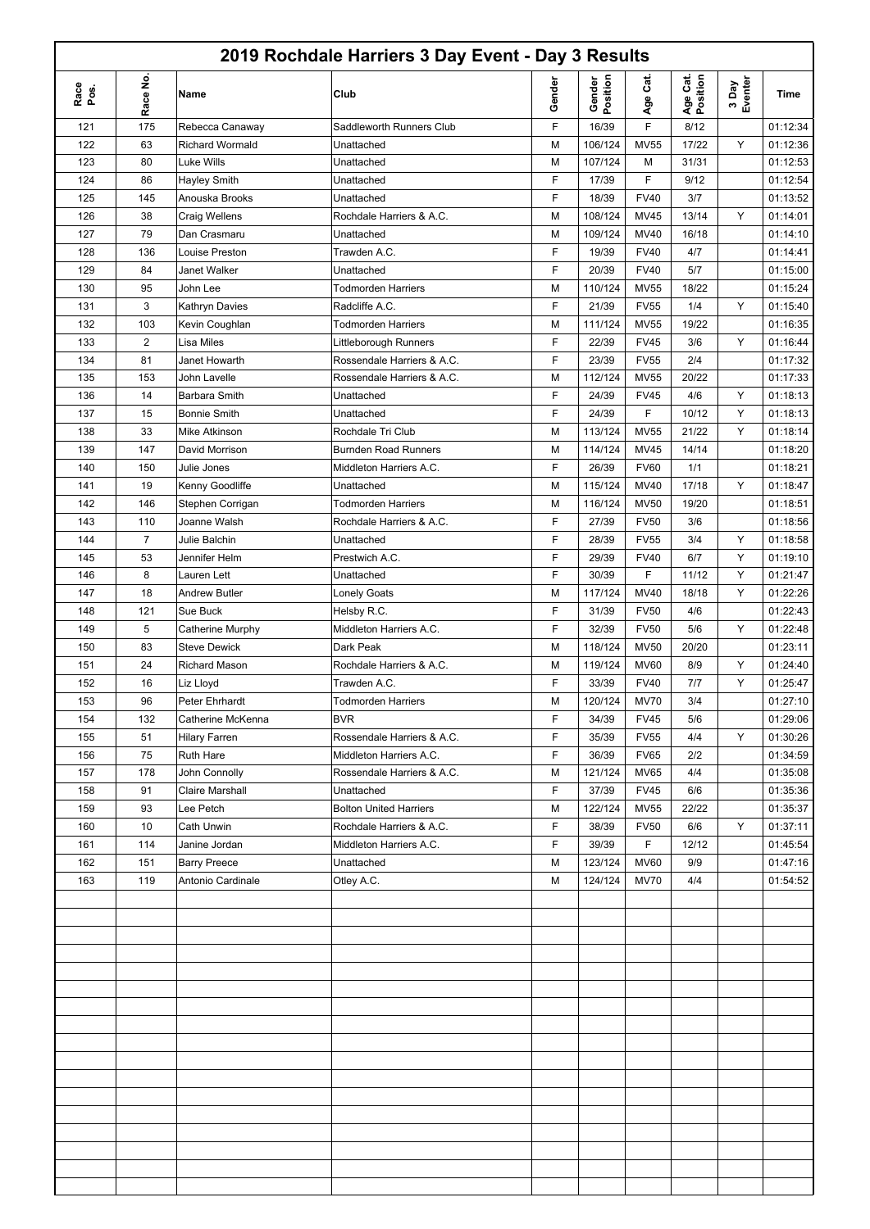|              |                |                                         | 2019 Rochdale Harriers 3 Day Event - Day 3 Results |        |                    |             |                      |                  |          |
|--------------|----------------|-----------------------------------------|----------------------------------------------------|--------|--------------------|-------------|----------------------|------------------|----------|
| Race<br>Pos. | Race No.       | Name                                    | Club                                               | Gender | Gender<br>Position | Age Cat.    | Age Cat.<br>Position | 3 Day<br>Eventer | Time     |
| 121          | 175            | Rebecca Canaway                         | Saddleworth Runners Club                           | F      | 16/39              | F           | 8/12                 |                  | 01:12:34 |
| 122          | 63             | Richard Wormald                         | Unattached                                         | M      | 106/124            | <b>MV55</b> | 17/22                | Y                | 01:12:36 |
| 123          | 80             | Luke Wills                              | Unattached                                         | M      | 107/124            | М           | 31/31                |                  | 01:12:53 |
| 124          | 86             | <b>Hayley Smith</b>                     | Unattached                                         | F      | 17/39              | F           | 9/12                 |                  | 01:12:54 |
| 125          | 145            | Anouska Brooks                          | Unattached                                         | F      | 18/39              | <b>FV40</b> | 3/7                  |                  | 01:13:52 |
| 126          | 38             | <b>Craig Wellens</b>                    | Rochdale Harriers & A.C.                           | M      | 108/124            | <b>MV45</b> | 13/14                | Y                | 01:14:01 |
| 127          | 79             | Dan Crasmaru                            | Unattached                                         | M      | 109/124            | MV40        | 16/18                |                  | 01:14:10 |
| 128          | 136            | Louise Preston                          | Trawden A.C.                                       | F      | 19/39              | <b>FV40</b> | 4/7                  |                  | 01:14:41 |
| 129          | 84             | <b>Janet Walker</b>                     | Unattached                                         | F      | 20/39              | <b>FV40</b> | 5/7                  |                  | 01:15:00 |
| 130          | 95             | John Lee                                | <b>Todmorden Harriers</b>                          | M      | 110/124            | <b>MV55</b> | 18/22                |                  | 01:15:24 |
| 131          | 3              | Kathryn Davies                          | Radcliffe A.C.                                     | F      | 21/39              | <b>FV55</b> | 1/4                  | Υ                | 01:15:40 |
| 132          | 103            | Kevin Coughlan                          | <b>Todmorden Harriers</b>                          | M      | 111/124            | <b>MV55</b> | 19/22                |                  | 01:16:35 |
| 133          | $\overline{c}$ | Lisa Miles                              | Littleborough Runners                              | F      | 22/39              | <b>FV45</b> | 3/6                  | Y                | 01:16:44 |
| 134          | 81             | Janet Howarth                           | Rossendale Harriers & A.C.                         | F      | 23/39              | <b>FV55</b> | 2/4                  |                  | 01:17:32 |
| 135          | 153            | John Lavelle                            | Rossendale Harriers & A.C.                         | M      | 112/124            | <b>MV55</b> | 20/22                |                  | 01:17:33 |
| 136          | 14             | Barbara Smith                           | Unattached                                         | F      | 24/39              | <b>FV45</b> | 4/6                  | Y                | 01:18:13 |
| 137          | 15             | <b>Bonnie Smith</b>                     | Unattached                                         | F      | 24/39              | F           | 10/12                | Υ                | 01:18:13 |
| 138          | 33             | Mike Atkinson                           | Rochdale Tri Club                                  | M      | 113/124            | <b>MV55</b> | 21/22                | Y                | 01:18:14 |
| 139          | 147            | David Morrison                          | <b>Burnden Road Runners</b>                        | M      | 114/124            | <b>MV45</b> | 14/14                |                  | 01:18:20 |
| 140          | 150            | Julie Jones                             | Middleton Harriers A.C.                            | F      | 26/39              | <b>FV60</b> | 1/1                  |                  | 01:18:21 |
| 141          | 19             | Kenny Goodliffe                         | Unattached                                         | M      | 115/124            | <b>MV40</b> | 17/18                | Y                | 01:18:47 |
| 142          | 146            | Stephen Corrigan                        | <b>Todmorden Harriers</b>                          | M      | 116/124            | <b>MV50</b> | 19/20                |                  | 01:18:51 |
| 143          | 110            | Joanne Walsh                            | Rochdale Harriers & A.C.                           | F      | 27/39              | <b>FV50</b> | 3/6                  |                  | 01:18:56 |
| 144          | $\overline{7}$ | Julie Balchin                           | Unattached                                         | F      | 28/39              | <b>FV55</b> | 3/4                  | Υ                | 01:18:58 |
| 145          | 53             | Jennifer Helm                           | Prestwich A.C.                                     | F      | 29/39              | <b>FV40</b> | 6/7                  | Y                | 01:19:10 |
| 146          | 8              | Lauren Lett                             | Unattached                                         | F      | 30/39              | F           | 11/12                | Υ                | 01:21:47 |
| 147          | 18             | Andrew Butler                           | Lonely Goats                                       | M      | 117/124            | MV40        | 18/18                | Υ                | 01:22:26 |
| 148          | 121            | Sue Buck                                | Helsby R.C.                                        | F      | 31/39              | <b>FV50</b> | 4/6                  |                  | 01:22:43 |
| 149          | 5              |                                         | Middleton Harriers A.C.                            | F      | 32/39              | <b>FV50</b> | 5/6                  | Υ                | 01:22:48 |
| 150          | 83             | Catherine Murphy<br><b>Steve Dewick</b> | Dark Peak                                          |        | 118/124            | <b>MV50</b> | 20/20                |                  | 01:23:11 |
|              |                |                                         |                                                    | M      |                    |             |                      |                  | 01:24:40 |
| 151          | 24             | <b>Richard Mason</b>                    | Rochdale Harriers & A.C.                           | M<br>F | 119/124            | <b>MV60</b> | 8/9                  | Y                | 01:25:47 |
| 152          | 16             | Liz Lloyd                               | Trawden A.C.                                       |        | 33/39              | <b>FV40</b> | 7/7                  | Y                |          |
| 153          | 96             | Peter Ehrhardt                          | <b>Todmorden Harriers</b>                          | м      | 120/124            | <b>MV70</b> | 3/4                  |                  | 01:27:10 |
| 154          | 132            | Catherine McKenna                       | <b>BVR</b>                                         | F      | 34/39              | <b>FV45</b> | 5/6                  |                  | 01:29:06 |
| 155          | 51             | <b>Hilary Farren</b>                    | Rossendale Harriers & A.C.                         | F      | 35/39              | <b>FV55</b> | 4/4                  | Y                | 01:30:26 |
| 156          | 75             | <b>Ruth Hare</b>                        | Middleton Harriers A.C.                            | F      | 36/39              | <b>FV65</b> | 2/2                  |                  | 01:34:59 |
| 157          | 178            | John Connolly                           | Rossendale Harriers & A.C.                         | M      | 121/124            | <b>MV65</b> | 4/4                  |                  | 01:35:08 |
| 158          | 91             | Claire Marshall                         | Unattached                                         | F      | 37/39              | <b>FV45</b> | 6/6                  |                  | 01:35:36 |
| 159          | 93             | Lee Petch                               | <b>Bolton United Harriers</b>                      | М      | 122/124            | <b>MV55</b> | 22/22                |                  | 01:35:37 |
| 160          | 10             | Cath Unwin                              | Rochdale Harriers & A.C.                           | F      | 38/39              | <b>FV50</b> | 6/6                  | Y                | 01:37:11 |
| 161          | 114            | Janine Jordan                           | Middleton Harriers A.C.                            | F      | 39/39              | F           | 12/12                |                  | 01:45:54 |
| 162          | 151            | <b>Barry Preece</b>                     | Unattached                                         | М      | 123/124            | <b>MV60</b> | 9/9                  |                  | 01:47:16 |
| 163          | 119            | Antonio Cardinale                       | Otley A.C.                                         | М      | 124/124            | <b>MV70</b> | 4/4                  |                  | 01:54:52 |
|              |                |                                         |                                                    |        |                    |             |                      |                  |          |
|              |                |                                         |                                                    |        |                    |             |                      |                  |          |
|              |                |                                         |                                                    |        |                    |             |                      |                  |          |
|              |                |                                         |                                                    |        |                    |             |                      |                  |          |
|              |                |                                         |                                                    |        |                    |             |                      |                  |          |
|              |                |                                         |                                                    |        |                    |             |                      |                  |          |
|              |                |                                         |                                                    |        |                    |             |                      |                  |          |
|              |                |                                         |                                                    |        |                    |             |                      |                  |          |
|              |                |                                         |                                                    |        |                    |             |                      |                  |          |
|              |                |                                         |                                                    |        |                    |             |                      |                  |          |
|              |                |                                         |                                                    |        |                    |             |                      |                  |          |
|              |                |                                         |                                                    |        |                    |             |                      |                  |          |
|              |                |                                         |                                                    |        |                    |             |                      |                  |          |
|              |                |                                         |                                                    |        |                    |             |                      |                  |          |
|              |                |                                         |                                                    |        |                    |             |                      |                  |          |
|              |                |                                         |                                                    |        |                    |             |                      |                  |          |
|              |                |                                         |                                                    |        |                    |             |                      |                  |          |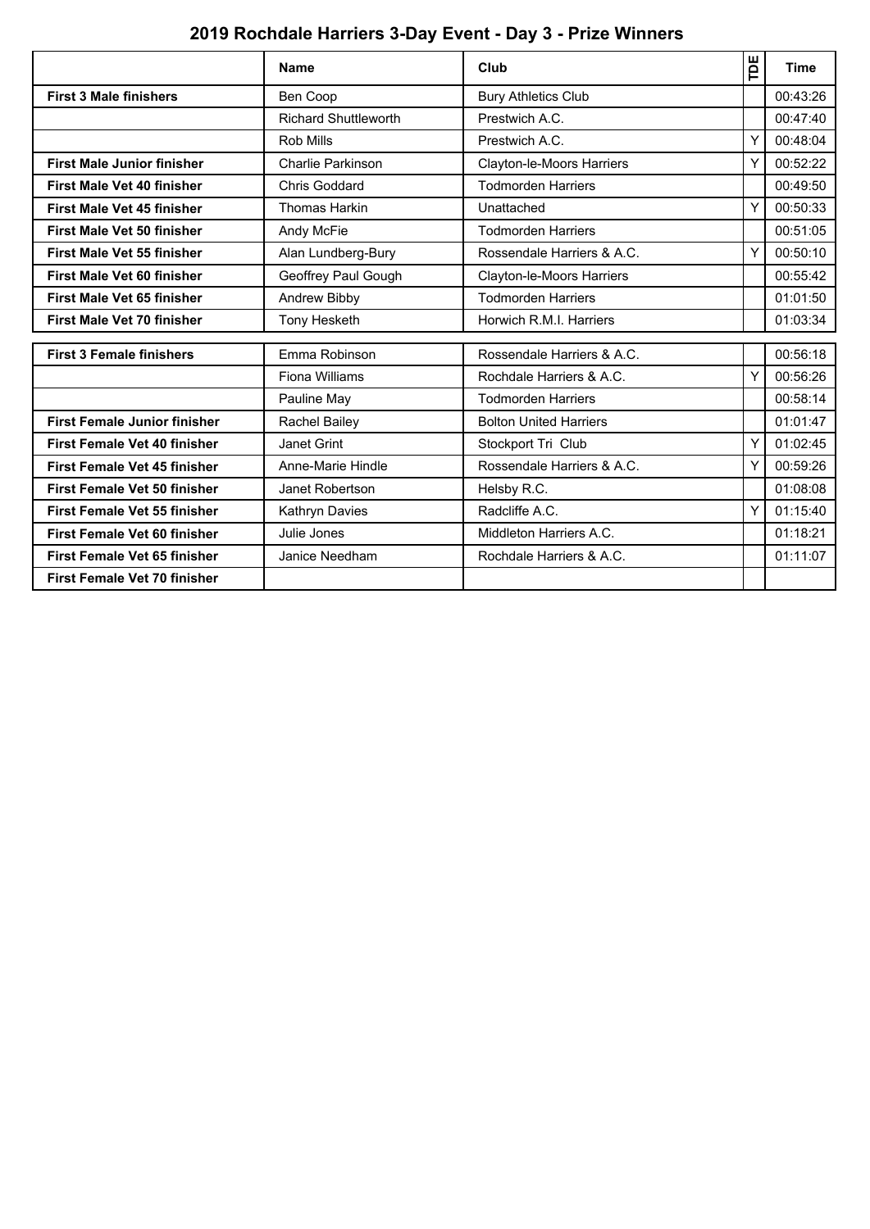# **2019 Rochdale Harriers 3-Day Event - Day 3 - Prize Winners**

|                                     | <b>Name</b>                 | Club                          | Ĕ | <b>Time</b> |
|-------------------------------------|-----------------------------|-------------------------------|---|-------------|
| <b>First 3 Male finishers</b>       | Ben Coop                    | <b>Bury Athletics Club</b>    |   | 00:43:26    |
|                                     | <b>Richard Shuttleworth</b> | Prestwich A.C.                |   | 00:47:40    |
|                                     | Rob Mills                   | Prestwich A.C.                | Y | 00:48:04    |
| <b>First Male Junior finisher</b>   | Charlie Parkinson           | Clayton-le-Moors Harriers     |   | 00:52:22    |
| <b>First Male Vet 40 finisher</b>   | <b>Chris Goddard</b>        | <b>Todmorden Harriers</b>     |   | 00:49:50    |
| <b>First Male Vet 45 finisher</b>   | <b>Thomas Harkin</b>        | Unattached                    | Y | 00:50:33    |
| First Male Vet 50 finisher          | Andy McFie                  | <b>Todmorden Harriers</b>     |   | 00:51:05    |
| <b>First Male Vet 55 finisher</b>   | Alan Lundberg-Bury          | Rossendale Harriers & A.C.    | Υ | 00:50:10    |
| <b>First Male Vet 60 finisher</b>   | Geoffrey Paul Gough         | Clayton-le-Moors Harriers     |   | 00:55:42    |
| <b>First Male Vet 65 finisher</b>   | Andrew Bibby                | <b>Todmorden Harriers</b>     |   | 01:01:50    |
| <b>First Male Vet 70 finisher</b>   | Tony Hesketh                | Horwich R.M.I. Harriers       |   | 01:03:34    |
| <b>First 3 Female finishers</b>     | Emma Robinson               | Rossendale Harriers & A.C.    |   | 00:56:18    |
|                                     |                             |                               |   |             |
|                                     | Fiona Williams              | Rochdale Harriers & A.C.      | Υ | 00:56:26    |
|                                     | Pauline May                 | <b>Todmorden Harriers</b>     |   | 00:58:14    |
| <b>First Female Junior finisher</b> | Rachel Bailey               | <b>Bolton United Harriers</b> |   | 01:01:47    |
| <b>First Female Vet 40 finisher</b> | Janet Grint                 | Stockport Tri Club            | Υ | 01:02:45    |
| <b>First Female Vet 45 finisher</b> | Anne-Marie Hindle           | Rossendale Harriers & A.C.    | Y | 00:59:26    |
| <b>First Female Vet 50 finisher</b> | Janet Robertson             | Helsby R.C.                   |   | 01:08:08    |
| <b>First Female Vet 55 finisher</b> | Kathryn Davies              | Radcliffe A.C.                | Y | 01:15:40    |
| <b>First Female Vet 60 finisher</b> | Julie Jones                 | Middleton Harriers A.C.       |   | 01:18:21    |
| <b>First Female Vet 65 finisher</b> | Janice Needham              | Rochdale Harriers & A.C.      |   | 01:11:07    |
| <b>First Female Vet 70 finisher</b> |                             |                               |   |             |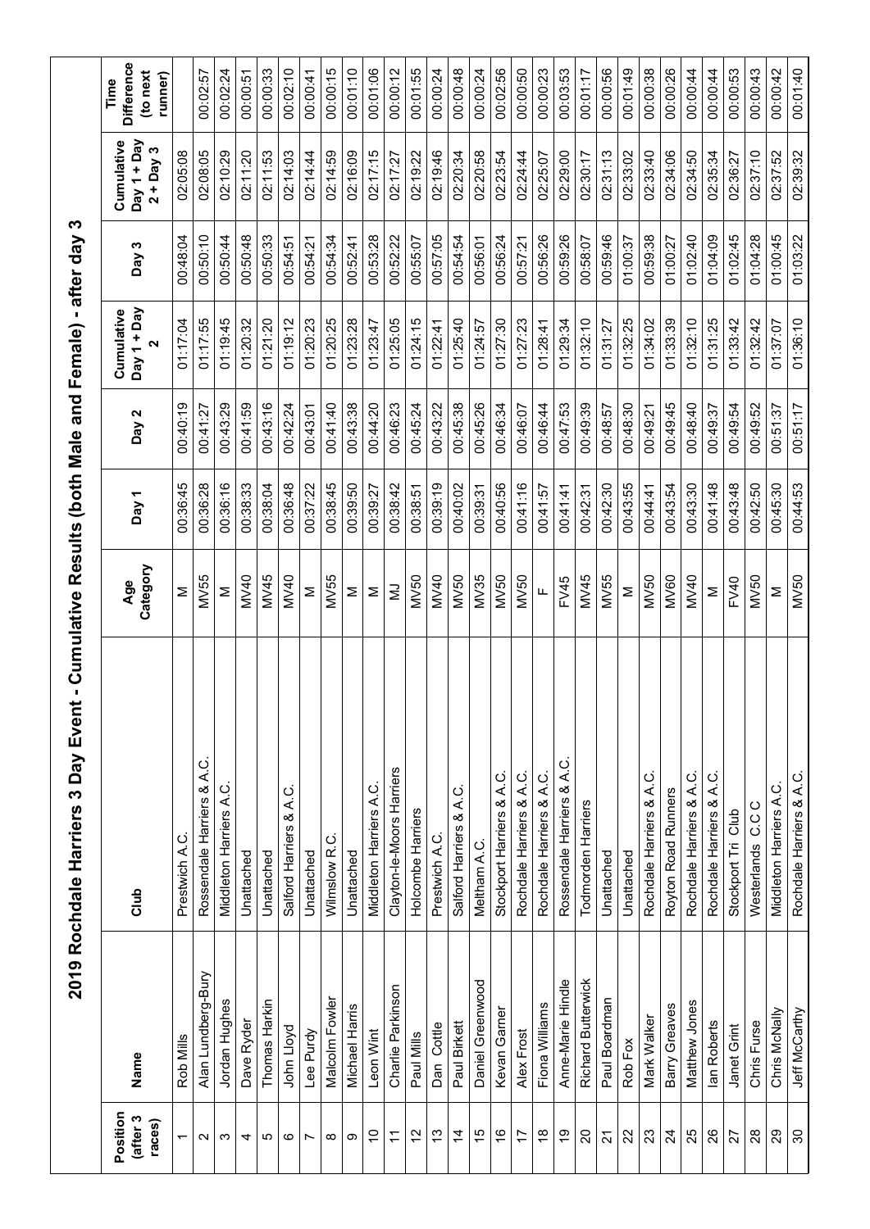|                                |                    | 2019 Rochdale Harriers 3 Day Even |                 |          |          | t - Cumulative Results (both Male and Female) - after day 3 |          |                                          |                                                  |
|--------------------------------|--------------------|-----------------------------------|-----------------|----------|----------|-------------------------------------------------------------|----------|------------------------------------------|--------------------------------------------------|
| Position<br>(after 3<br>races) | Name               | Club                              | Category<br>Age | Day 1    | Day 2    | Day 1 + Day<br>Cumulative<br>$\mathbf{\Omega}$              | Day 3    | Day 1 + Day<br>Cumulative<br>$2 + Day 3$ | <b>Difference</b><br>(to next<br>runner)<br>Time |
| $\overline{\phantom{0}}$       | Rob Mills          | Prestwich A.C                     | Σ               | 00:36:45 | 00:40:19 | 01:17:04                                                    | 00:48:04 | 02:05:08                                 |                                                  |
| Ν                              | Alan Lundberg-Bury | Rossendale Harriers & A.C.        | MV55            | 00:36:28 | 00:41:27 | 01:17:55                                                    | 00:50:10 | 02:08:05                                 | 00:02:57                                         |
| ო                              | Jordan Hughes      | Middleton Harriers A.C            | Σ               | 00:36:16 | 00:43:29 | 01:19:45                                                    | 00:50:44 | 02:10:29                                 | 00:02:24                                         |
| 4                              | Dave Ryder         | Unattached                        | <b>MV40</b>     | 00:38:33 | 00:41:59 | 01:20:32                                                    | 00:50:48 | 02:11:20                                 | 00:00:51                                         |
| ю                              | Thomas Harkin      | Unattached                        | MV45            | 00:38:04 | 00:43:16 | 01:21:20                                                    | 00:50:33 | 02:11:53                                 | 00:00:33                                         |
| ဖ                              | John Lloyd         | Salford Harriers & A.C            | <b>MV40</b>     | 00:36:48 | 00:42:24 | 01:19:12                                                    | 00:54:51 | 02:14:03                                 | 00:02:10                                         |
| Ľ                              | Lee Purdy          | Unattached                        | Σ               | 00:37:22 | 00:43:01 | 01:20:23                                                    | 00:54:21 | 02:14:44                                 | 00:00:41                                         |
| $\infty$                       | Malcolm Fowler     | ن<br>Wilmslow <sub>R</sub> .      | MV55            | 00:38:45 | 00:41:40 | 01:20:25                                                    | 00:54:34 | 02:14:59                                 | 00:00:15                                         |
| တ                              | Michael Harris     | Unattached                        | Σ               | 00:39:50 | 00:43:38 | 01:23:28                                                    | 00:52:41 | 02:16:09                                 | 00:01:10                                         |
| $\tilde{c}$                    | Leon Wint          | Middleton Harriers A.C            | Σ               | 00:39:27 | 00:44:20 | 01:23:47                                                    | 00:53:28 | 02:17:15                                 | 00:01:06                                         |
| $\tilde{\mathcal{L}}$          | Charlie Parkinson  | Clayton-le-Moors Harriers         | Ξ               | 00:38:42 | 00:46:23 | 01:25:05                                                    | 00:52:22 | 02:17:27                                 | 00:00:12                                         |
| 57                             | Paul Mills         | Holcombe Harriers                 | MV50            | 00:38:51 | 00:45:24 | 01:24:15                                                    | 00:55:07 | 02:19:22                                 | 00:01:55                                         |
| $\frac{3}{2}$                  | Dan Cottle         | Prestwich A.C.                    | <b>MV40</b>     | 00:39:19 | 00:43:22 | 01:22:41                                                    | 00:57:05 | 02:19:46                                 | 00:00:24                                         |
| $\overline{4}$                 | Paul Birkett       | Salford Harriers & A.C.           | MV50            | 00:40:02 | 00:45:38 | 01:25:40                                                    | 00:54:54 | 02:20:34                                 | 00:00:48                                         |
| 15                             | Daniel Greenwood   | Meltham A.C.                      | MV35            | 00:39:31 | 00:45:26 | 01:24:57                                                    | 00:56:01 | 02:20:58                                 | 00:00:24                                         |
| $\frac{6}{5}$                  | Kevan Garner       | Stockport Harriers & A.C.         | MV50            | 00:40:56 | 00:46:34 | 01:27:30                                                    | 00:56:24 | 02:23:54                                 | 00:02:56                                         |
| 17                             | Alex Frost         | Rochdale Harriers & A.C.          | <b>MV50</b>     | 00:41:16 | 00:46:07 | 01:27:23                                                    | 00:57:21 | 02:24:44                                 | 00:00:50                                         |
| $\frac{8}{10}$                 | Fiona Williams     | Rochdale Harriers & A.C.          | Щ               | 00:41:57 | 00:46:44 | 01:28:41                                                    | 00:56:26 | 02:25:07                                 | 00:00:23                                         |
| စ္                             | Anne-Marie Hindle  | Rossendale Harriers & A.C.        | FV45            | 00:41:41 | 00:47:53 | 01:29:34                                                    | 00:59:26 | 02:29:00                                 | 00:03:53                                         |
| $\Omega$                       | Richard Butterwick | Todmorden Harriers                | MV45            | 00:42:31 | 00:49:39 | 01:32:10                                                    | 00:58:07 | 02:30:17                                 | 00:01:17                                         |
| 21                             | Paul Boardman      | Unattached                        | MV55            | 00:42:30 | 00:48:57 | 01:31:27                                                    | 00:59:46 | 02:31:13                                 | 00:00:56                                         |
| 22                             | Rob Fox            | Unattached                        | Σ               | 00:43:55 | 00:48:30 | 01:32:25                                                    | 01:00:37 | 02:33:02                                 | 00:01:49                                         |
| 23                             | Mark Walker        | Rochdale Harriers & A.C.          | <b>MV50</b>     | 00:44:41 | 00:49:21 | 01:34:02                                                    | 00:59:38 | 02:33:40                                 | 00:00:38                                         |
| $\overline{24}$                | Barry Greaves      | Royton Road Runners               | <b>MV60</b>     | 00:43:54 | 00:49:45 | 01:33:39                                                    | 01:00:27 | 02:34:06                                 | 00:00:26                                         |
| 25                             | Matthew Jones      | Rochdale Harriers & A.C.          | MV40            | 00:43:30 | 00:48:40 | 01:32:10                                                    | 01:02:40 | 02:34:50                                 | 00:00:44                                         |
| $\frac{8}{2}$                  | lan Roberts        | Rochdale Harriers & A.C.          | Σ               | 00:41:48 | 00:49:37 | 01:31:25                                                    | 01:04:09 | 02:35:34                                 | 00:00:44                                         |
| 27                             | Janet Grint        | Stockport Tri Club                | FV40            | 00:43:48 | 00:49:54 | 01:33:42                                                    | 01:02:45 | 02:36:27                                 | 00:00:53                                         |
| $\frac{8}{2}$                  | Chris Furse        | C C C<br>Westerlands              | <b>MV50</b>     | 00:42:50 | 00:49:52 | 01:32:42                                                    | 01:04:28 | 02:37:10                                 | 00:00:43                                         |
| $\mathbf{S}$                   | Chris McNally      | Middleton Harriers A.C.           | Σ               | 00:45:30 | 00:51:37 | 01:37:07                                                    | 01:00:45 | 02:37:52                                 | 00:00:42                                         |
| $\infty$                       | Jeff McCarthy      | Rochdale Harriers & A.C.          | <b>MV50</b>     | 00:44:53 | 00:51:17 | 01:36:10                                                    | 01:03:22 | 02:39:32                                 | 00:01:40                                         |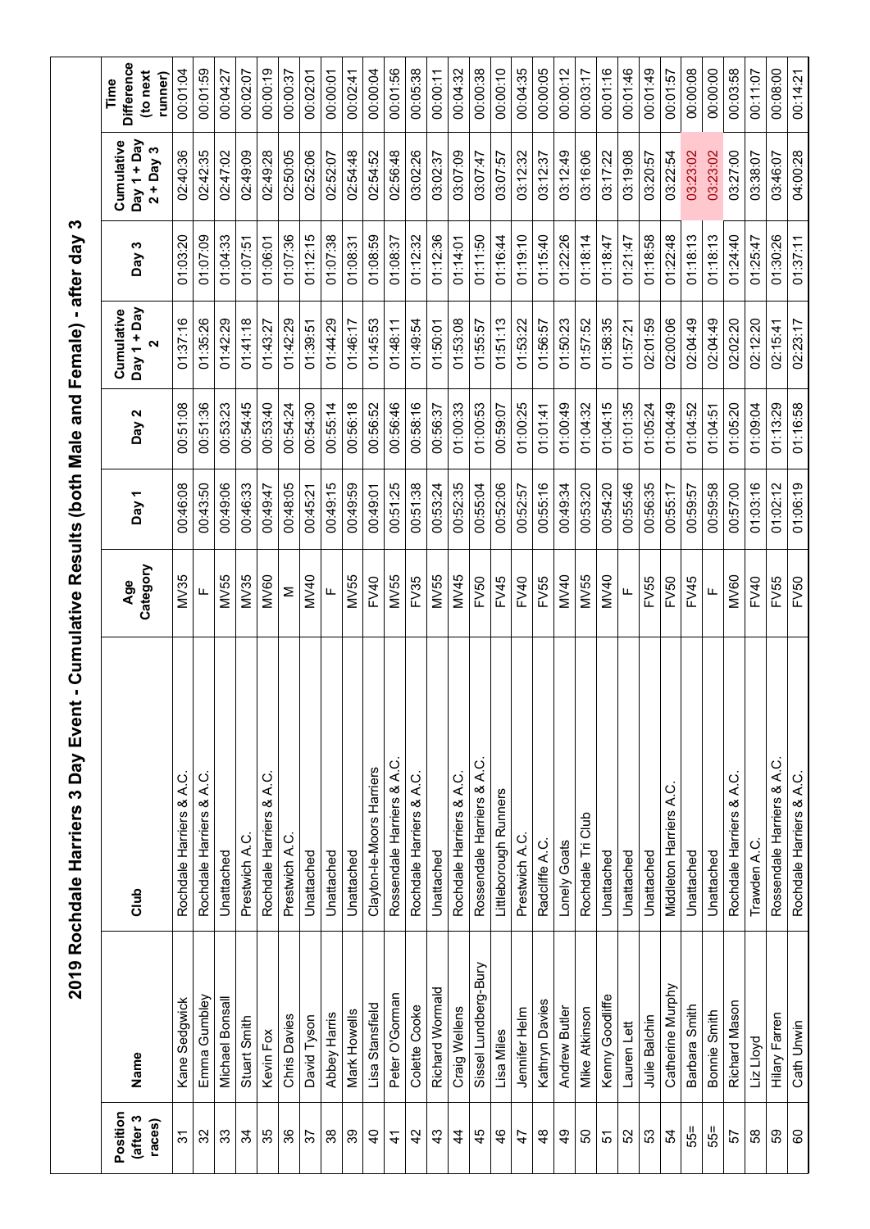|                                |                      | 2019 Rochdale Harriers 3 Day Event - Cumulative Results (both Male and Female) - after day 3 |                 |          |          |                                                   |          |                                          |                                                 |
|--------------------------------|----------------------|----------------------------------------------------------------------------------------------|-----------------|----------|----------|---------------------------------------------------|----------|------------------------------------------|-------------------------------------------------|
| Position<br>(after 3<br>races) | Name                 | Club                                                                                         | Category<br>Age | Day 1    | Day 2    | Cumulative<br>Day 1 + Day<br>$\mathbf{\tilde{z}}$ | Day 3    | Cumulative<br>Day 1 + Day<br>$2 + Day 3$ | <b>Difference</b><br>to next<br>runner)<br>Time |
| 94                             | Kane Sedgwick        | Rochdale Harriers & A.C.                                                                     | MV35            | 00:46:08 | 00:51:08 | 01:37:16                                          | 01:03:20 | 02:40:36                                 | 00:01:04                                        |
| 32                             | Emma Gumbley         | Rochdale Harriers & A.C.                                                                     | щ               | 00:43:50 | 00:51:36 | 01:35:26                                          | 01:07:09 | 02:42:35                                 | 00:01:59                                        |
| 33                             | Michael Bonsall      | Unattached                                                                                   | MV55            | 00:49:06 | 00:53:23 | 01:42:29                                          | 01:04:33 | 02:47:02                                 | 00:04:27                                        |
| $\mathfrak{F}$                 | Stuart Smith         | Prestwich A.C.                                                                               | MV35            | 00:46:33 | 00:54:45 | 01:41:18                                          | 01:07:51 | 02:49:09                                 | 00:02:07                                        |
| 35                             | Kevin Fox            | Rochdale Harriers & A.C.                                                                     | <b>MV60</b>     | 00:49:47 | 00:53:40 | 01:43:27                                          | 01:06:01 | 02:49:28                                 | 00:00:19                                        |
| 36                             | Chris Davies         | Prestwich A.C.                                                                               | Σ               | 00:48:05 | 00:54:24 | 01:42:29                                          | 01:07:36 | 02:50:05                                 | 00:00:37                                        |
| 57                             | David Tyson          | Unattached                                                                                   | MV40            | 00:45:21 | 00:54:30 | 01:39:51                                          | 01:12:15 | 02:52:06                                 | 00:02:01                                        |
| 38                             | Abbey Harris         | Unattached                                                                                   | Щ               | 00:49:15 | 00:55:14 | 01:44:29                                          | 01:07:38 | 02:52:07                                 | 00:00:01                                        |
| 39                             | Mark Howells         | Unattached                                                                                   | MV55            | 00:49:59 | 00:56:18 | 01:46:17                                          | 01:08:31 | 02:54:48                                 | 00:02:41                                        |
| $\overline{4}$                 | Lisa Stansfield      | Clayton-le-Moors Harriers                                                                    | FV40            | 00:49:01 | 00:56:52 | 01:45:53                                          | 01:08:59 | 02:54:52                                 | 00:00:04                                        |
| $\mathcal{A}$                  | Peter O'Gorman       | Rossendale Harriers & A.C                                                                    | MV55            | 00:51:25 | 00:56:46 | 01:48:11                                          | 01:08:37 | 02:56:48                                 | 00:01:56                                        |
| $\overline{4}$                 | Colette Cooke        | Rochdale Harriers & A.C.                                                                     | FV35            | 00:51:38 | 00:58:16 | 01:49:54                                          | 01:12:32 | 03:02:26                                 | 00:05:38                                        |
| $\frac{3}{4}$                  | Richard Wormald      | Unattached                                                                                   | MV55            | 00:53:24 | 00:56:37 | 01:50:01                                          | 01:12:36 | 03:02:37                                 | 00:00:11                                        |
| $\frac{4}{3}$                  | Craig Wellens        | Rochdale Harriers & A.C.                                                                     | MV45            | 00:52:35 | 01:00:33 | 01:53:08                                          | 01:14:01 | 03:07:09                                 | 00:04:32                                        |
| 45                             | Sissel Lundberg-Bury | Rossendale Harriers & A.C.                                                                   | FV50            | 00:55:04 | 01:00:53 | 01:55:57                                          | 01:11:50 | 03:07:47                                 | 00:00:38                                        |
| $\frac{6}{5}$                  | Lisa Miles           | Littleborough Runners                                                                        | FV45            | 00:52:06 | 00:59:07 | 01:51:13                                          | 01:16:44 | 03:07:57                                 | 00:00:10                                        |
| 47                             | Jennifer Helm        | Prestwich A.C                                                                                | FV40            | 00:52:57 | 01:00:25 | 01:53:22                                          | 01:19:10 | 03:12:32                                 | 00:04:35                                        |
| $\frac{8}{4}$                  | Kathryn Davies       | Radcliffe A.                                                                                 | FV55            | 00:55:16 | 01:01:41 | 01:56:57                                          | 01:15:40 | 03:12:37                                 | 00:00:05                                        |
| $\frac{9}{4}$                  | Andrew Butler        | Lonely Goats                                                                                 | <b>MV40</b>     | 00:49:34 | 01:00:49 | 01:50:23                                          | 01:22:26 | 03:12:49                                 | 00:00:12                                        |
| 50                             | Mike Atkinson        | Rochdale Tri Club                                                                            | MV55            | 00:53:20 | 01:04:32 | 01:57:52                                          | 01:18:14 | 03:16:06                                 | 00:03:17                                        |
| 5                              | Kenny Goodliffe      | Unattached                                                                                   | MV40            | 00:54:20 | 01:04:15 | 01:58:35                                          | 01:18:47 | 03:17:22                                 | 00:01:16                                        |
| 52                             | Lauren Lett          | Unattached                                                                                   | Щ               | 00:55:46 | 01:01:35 | 01:57:21                                          | 01:21:47 | 03:19:08                                 | 00:01:46                                        |
| S3                             | Julie Balchin        | Unattached                                                                                   | FV55            | 00:56:35 | 01:05:24 | 02:01:59                                          | 01:18:58 | 03:20:57                                 | 00:01:49                                        |
| 54                             | Catherine Murphy     | Middleton Harriers A.C.                                                                      | FV50            | 00:55:17 | 01:04:49 | 02:00:06                                          | 01:22:48 | 03:22:54                                 | 00:01:57                                        |
| 55=                            | Barbara Smith        | Unattached                                                                                   | FV45            | 00:59:57 | 01:04:52 | 02:04:49                                          | 01:18:13 | 03:23:02                                 | 00:00:08                                        |
| 55=                            | Bonnie Smith         | Unattached                                                                                   | $\mu$           | 00:59:58 | 01:04:51 | 02:04:49                                          | 01:18:13 | 03:23:02                                 | 00:00:00                                        |
| 57                             | Richard Mason        | Rochdale Harriers & A.C.                                                                     | <b>MV60</b>     | 00:57:00 | 01:05:20 | 02:02:20                                          | 01:24:40 | 03:27:00                                 | 00:03:58                                        |
| 38                             | Liz Lloyd            | Trawden A.C.                                                                                 | FV40            | 01:03:16 | 01:09:04 | 02:12:20                                          | 01:25:47 | 03:38:07                                 | 00:11:07                                        |
| 89                             | Hilary Farren        | Rossendale Harriers & A.C.                                                                   | FV55            | 01:02:12 | 01:13:29 | 02:15:41                                          | 01:30:26 | 03:46:07                                 | 00:08:00                                        |
| 60                             | Cath Unwin           | Rochdale Harriers & A.C.                                                                     | FV50            | 01:06:19 | 01:16:58 | 02:23:17                                          | 01:37:11 | 04:00:28                                 | 00:14:21                                        |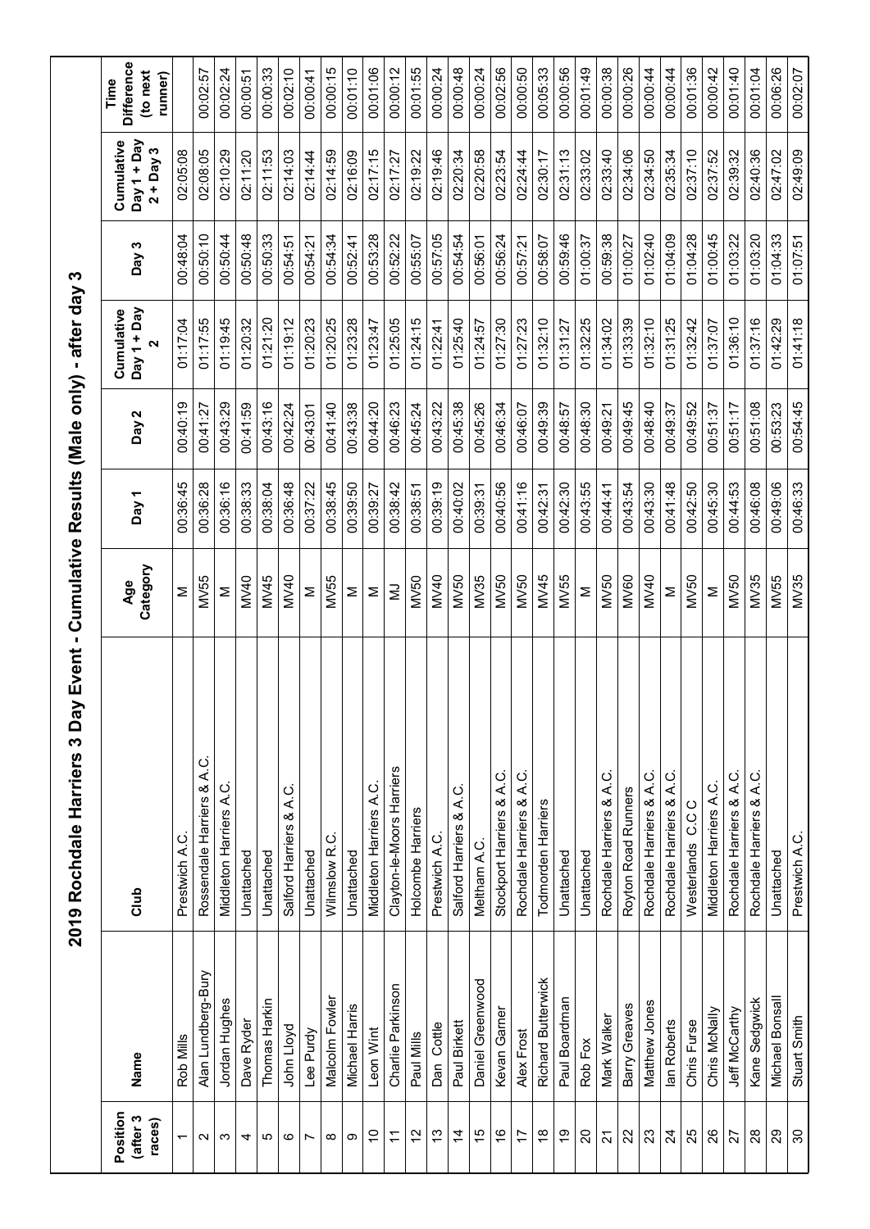|                                     |                    | 2019 Rochdale Harriers 3 Da      |                 |                  |          | y Event - Cumulative Results (Male only) - after day 3 |          |                                          |                                                  |
|-------------------------------------|--------------------|----------------------------------|-----------------|------------------|----------|--------------------------------------------------------|----------|------------------------------------------|--------------------------------------------------|
| Position<br>(after 3<br>$rac{1}{2}$ | Name               | Club                             | Category<br>Age | Day <sub>1</sub> | Day 2    | Day 1 + Day<br>Cumulative<br>2                         | Day 3    | Cumulative<br>Day 1 + Day<br>$2 + Day 3$ | <b>Difference</b><br>(to next<br>runner)<br>Time |
| $\overline{ }$                      | Rob Mills          | Prestwich A.C.                   | Σ               | 00:36:45         | 00:40:19 | 01:17:04                                               | 00:48:04 | 02:05:08                                 |                                                  |
| $\mathbf{\Omega}$                   | Alan Lundberg-Bury | ن<br>نم<br>Rossendale Harriers & | <b>MV55</b>     | 00:36:28         | 00:41:27 | 01:17:55                                               | 00:50:10 | 02:08:05                                 | 00:02:57                                         |
| S                                   | Jordan Hughes      | Middleton Harriers A.C           | Σ               | 00:36:16         | 00:43:29 | 01:19:45                                               | 00:50:44 | 02:10:29                                 | 00:02:24                                         |
| 4                                   | Dave Ryder         | Unattached                       | <b>MV40</b>     | 00:38:33         | 00:41:59 | 01:20:32                                               | 00:50:48 | 02:11:20                                 | 00:00:51                                         |
| ယ                                   | Thomas Harkin      | Unattached                       | MV45            | 00:38:04         | 00:43:16 | 01:21:20                                               | 00:50:33 | 02:11:53                                 | 00:00:33                                         |
| ဖ                                   | John Lloyd         | Salford Harriers & A.C.          | MV40            | 00:36:48         | 00:42:24 | 01:19:12                                               | 00:54:51 | 02:14:03                                 | 00:02:10                                         |
| Ľ                                   | Lee Purdy          | Unattached                       | Σ               | 00:37:22         | 00:43:01 | 01:20:23                                               | 00:54:21 | 02:14:44                                 | 00:00:41                                         |
| ∞                                   | Malcolm Fowler     | ن<br>Wilmslow <sub>R</sub>       | MV55            | 00:38:45         | 00:41:40 | 01:20:25                                               | 00:54:34 | 02:14:59                                 | 00:00:15                                         |
| တ                                   | Michael Harris     | Unattached                       | Σ               | 00:39:50         | 00:43:38 | 01:23:28                                               | 00:52:41 | 02:16:09                                 | 00:01:10                                         |
| $\tilde{c}$                         | Leon Wint          | Middleton Harriers A.C.          | Σ               | 00:39:27         | 00:44:20 | 01:23:47                                               | 00:53:28 | 02:17:15                                 | 00:01:06                                         |
| Ξ                                   | Charlie Parkinson  | Clayton-le-Moors Harriers        | Ξ               | 00:38:42         | 00:46:23 | 01:25:05                                               | 00:52:22 | 02:17:27                                 | 00:00:12                                         |
| $\tilde{c}$                         | Paul Mills         | Holcombe Harriers                | <b>MV50</b>     | 00:38:51         | 00:45:24 | 01:24:15                                               | 00:55:07 | 02:19:22                                 | 00:01:55                                         |
| $\frac{1}{2}$                       | Dan Cottle         | Prestwich A.C                    | <b>MV40</b>     | 00:39:19         | 00:43:22 | 01:22:41                                               | 00:57:05 | 02:19:46                                 | 00:00:24                                         |
| $\dot{4}$                           | Paul Birkett       | Salford Harriers & A.C.          | MV50            | 00:40:02         | 00:45:38 | 01:25:40                                               | 00:54:54 | 02:20:34                                 | 00:00:48                                         |
| 15                                  | Daniel Greenwood   | Meltham A.C.                     | MV35            | 00:39:31         | 00:45:26 | 01:24:57                                               | 00:56:01 | 02:20:58                                 | 00:00:24                                         |
| $\overset{\circ}{\cdot}$            | Kevan Garner       | Stockport Harriers & A.C         | MV50            | 00:40:56         | 00:46:34 | 01:27:30                                               | 00:56:24 | 02:23:54                                 | 00:02:56                                         |
| 17                                  | Alex Frost         | Rochdale Harriers & A.C.         | MV50            | 00:41:16         | 00:46:07 | 01:27:23                                               | 00:57:21 | 02:24:44                                 | 00:00:50                                         |
| $\frac{8}{1}$                       | Richard Butterwick | Todmorden Harriers               | MV45            | 00:42:31         | 00:49:39 | 01:32:10                                               | 00:58:07 | 02:30:17                                 | 00:05:33                                         |
| စ္                                  | Paul Boardman      | Unattached                       | MV55            | 00:42:30         | 00:48:57 | 01:31:27                                               | 00:59:46 | 02:31:13                                 | 00:00:56                                         |
| 20                                  | Rob Fox            | Unattached                       | Σ               | 00:43:55         | 00:48:30 | 01:32:25                                               | 01:00:37 | 02:33:02                                 | 00:01:49                                         |
| $\tilde{\mathbf{z}}$                | Mark Walker        | ن<br>Rochdale Harriers & A.      | <b>MV50</b>     | 00:44:41         | 00:49:21 | 01:34:02                                               | 00:59:38 | 02:33:40                                 | 00:00:38                                         |
| $\mathcal{S}$                       | Barry Greaves      | Royton Road Runners              | <b>MV60</b>     | 00:43:54         | 00:49:45 | 01:33:39                                               | 01:00:27 | 02:34:06                                 | 00:00:26                                         |
| $\mathbb{S}^2$                      | Matthew Jones      | Rochdale Harriers & A.C          | MV40            | 00:43:30         | 06:48:40 | 01:32:10                                               | 01:02:40 | 02:34:50                                 | 00:00:44                                         |
| $\overline{24}$                     | lan Roberts        | Rochdale Harriers & A.C          | Σ               | 00:41:48         | 00:49:37 | 01:31:25                                               | 01:04:09 | 02:35:34                                 | 00:00:44                                         |
| 25                                  | Chris Furse        | Westerlands C.C.C                | <b>MV50</b>     | 00:42:50         | 00:49:52 | 01:32:42                                               | 01:04:28 | 02:37:10                                 | 00:01:36                                         |
| 26                                  | Chris McNally      | Middleton Harriers A.C.          | Σ               | 00:45:30         | 00:51:37 | 01:37:07                                               | 01:00:45 | 02:37:52                                 | 00:00:42                                         |
| 27                                  | Jeff McCarthy      | Rochdale Harriers & A.C          | <b>MV50</b>     | 00:44:53         | 00:51:17 | 01:36:10                                               | 01:03:22 | 02:39:32                                 | 00:01:40                                         |
| $\frac{8}{2}$                       | Kane Sedgwick      | Rochdale Harriers & A.C          | MV35            | 00:46:08         | 00:51:08 | 01:37:16                                               | 01:03:20 | 02:40:36                                 | 00:01:04                                         |
| $\mathbf{S}$                        | Michael Bonsall    | Unattached                       | MV55            | 00:49:06         | 00:53:23 | 01:42:29                                               | 01:04:33 | 02:47:02                                 | 00:06:26                                         |
| $\rm ^{8}$                          | Stuart Smith       | Prestwich A.C.                   | MV35            | 00:46:33         | 00:54:45 | 01:41:18                                               | 01:07:51 | 02:49:09                                 | 00:02:07                                         |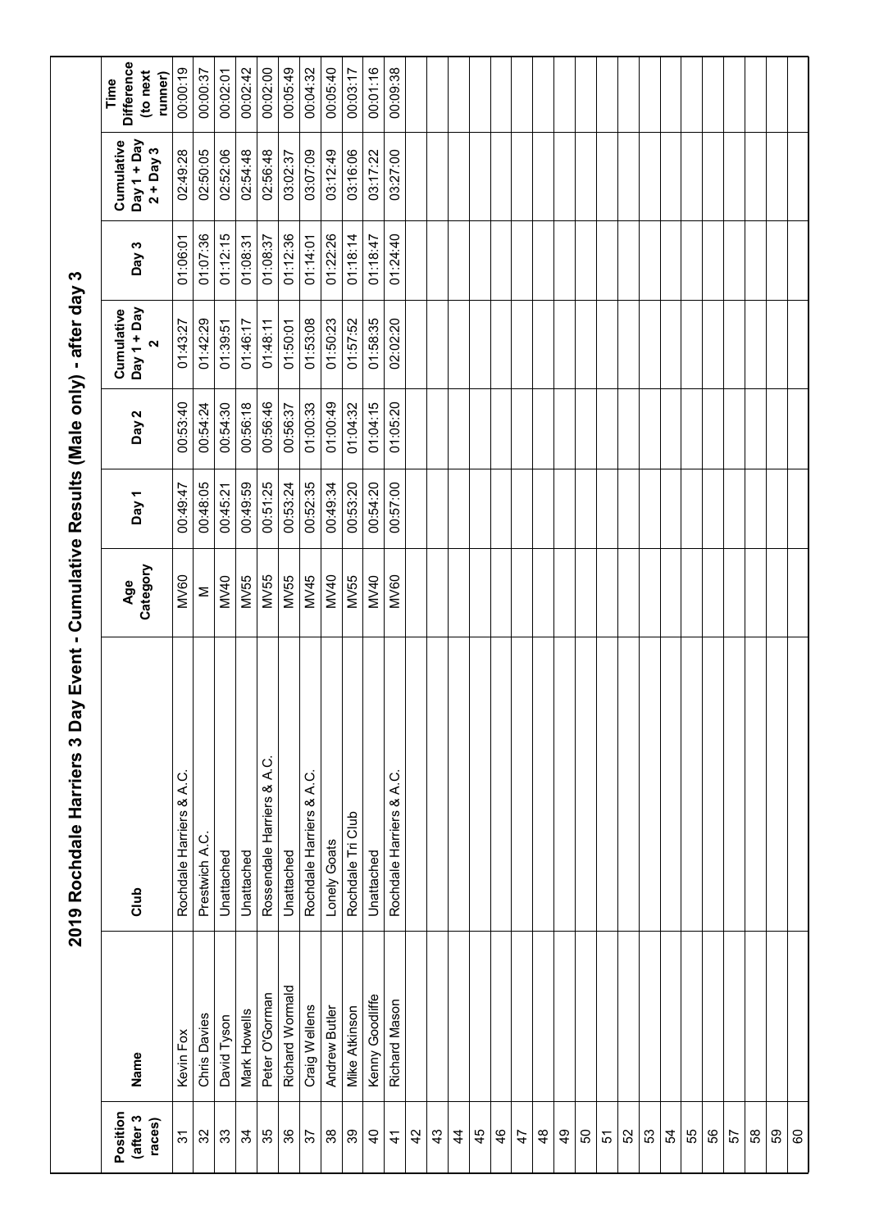|                                |                 | 2019 Rochdale Harriers 3 Day Event - Cumulative Results (Male only) - after day 3 |                 |          |          |                                                |          |                                          |                                           |
|--------------------------------|-----------------|-----------------------------------------------------------------------------------|-----------------|----------|----------|------------------------------------------------|----------|------------------------------------------|-------------------------------------------|
| Position<br>(after 3<br>races) | Name            | Club                                                                              | Category<br>Age | Day 1    | Day 2    | Day 1 + Day<br>Cumulative<br>$\mathbf{\Omega}$ | Day 3    | Cumulative<br>Day 1 + Day<br>$2 + Day 3$ | Difference<br>(to next<br>runner)<br>Time |
| $\tilde{\mathcal{E}}$          | Kevin Fox       | Rochdale Harriers & A.C                                                           | <b>MV60</b>     | 00:49:47 | 00:53:40 | 01:43:27                                       | 01:06:01 | 02:49:28                                 | 00:00:19                                  |
| 32                             | Chris Davies    | ن<br>Prestwich A.                                                                 | Σ               | 00:48:05 | 00:54:24 | 01:42:29                                       | 01:07:36 | 02:50:05                                 | 00:00:37                                  |
| 33                             | David Tyson     | Unattached                                                                        | MV40            | 00:45:21 | 00:54:30 | 01:39:51                                       | 01:12:15 | 02:52:06                                 | 00:02:01                                  |
| $\mathfrak{F}$                 | Mark Howells    | Unattached                                                                        | <b>MV55</b>     | 00:49:59 | 00:56:18 | 01:46:17                                       | 01:08:31 | 02:54:48                                 | 00:02:42                                  |
| 35                             | Peter O'Gorman  | Rossendale Harriers & A.C.                                                        | MV55            | 00:51:25 | 00:56:46 | 01:48:11                                       | 01:08:37 | 02:56:48                                 | 00:02:00                                  |
| 36                             | Richard Wormald | Unattached                                                                        | MV55            | 00:53:24 | 00:56:37 | 01:50:01                                       | 01:12:36 | 03:02:37                                 | 00:05:49                                  |
| 57                             | Craig Wellens   | Rochdale Harriers & A.C.                                                          | MV45            | 00:52:35 | 01:00:33 | 01:53:08                                       | 01:14:01 | 03:07:09                                 | 00:04:32                                  |
| 38                             | Andrew Butler   | Lonely Goats                                                                      | MV40            | 00:49:34 | 01:00:49 | 01:50:23                                       | 01:22:26 | 03:12:49                                 | 00:05:40                                  |
| 39                             | Mike Atkinson   | Rochdale Tri Club                                                                 | MV55            | 00:53:20 | 01:04:32 | 01:57:52                                       | 01:18:14 | 03:16:06                                 | 00:03:17                                  |
| $\overline{a}$                 | Kenny Goodliffe | Unattached                                                                        | MV40            | 00:54:20 | 01:04:15 | 01:58:35                                       | 01:18:47 | 03:17:22                                 | 00:01:16                                  |
| $\ddot{4}$                     | Richard Mason   | Rochdale Harriers & A.C.                                                          | <b>MV60</b>     | 00:57:00 | 01:05:20 | 02:02:20                                       | 01:24:40 | 03:27:00                                 | 00:09:38                                  |
| $\overline{4}$                 |                 |                                                                                   |                 |          |          |                                                |          |                                          |                                           |
| $\frac{3}{4}$                  |                 |                                                                                   |                 |          |          |                                                |          |                                          |                                           |
| $\frac{4}{3}$                  |                 |                                                                                   |                 |          |          |                                                |          |                                          |                                           |
| 45                             |                 |                                                                                   |                 |          |          |                                                |          |                                          |                                           |
| $\frac{6}{5}$                  |                 |                                                                                   |                 |          |          |                                                |          |                                          |                                           |
| $\ddot{t}$                     |                 |                                                                                   |                 |          |          |                                                |          |                                          |                                           |
| $\frac{8}{3}$                  |                 |                                                                                   |                 |          |          |                                                |          |                                          |                                           |
| $\frac{9}{4}$                  |                 |                                                                                   |                 |          |          |                                                |          |                                          |                                           |
| 50                             |                 |                                                                                   |                 |          |          |                                                |          |                                          |                                           |
| 57                             |                 |                                                                                   |                 |          |          |                                                |          |                                          |                                           |
| S2                             |                 |                                                                                   |                 |          |          |                                                |          |                                          |                                           |
| 53                             |                 |                                                                                   |                 |          |          |                                                |          |                                          |                                           |
| 54                             |                 |                                                                                   |                 |          |          |                                                |          |                                          |                                           |
| 55                             |                 |                                                                                   |                 |          |          |                                                |          |                                          |                                           |
| 56                             |                 |                                                                                   |                 |          |          |                                                |          |                                          |                                           |
| 57                             |                 |                                                                                   |                 |          |          |                                                |          |                                          |                                           |
| $58\,$                         |                 |                                                                                   |                 |          |          |                                                |          |                                          |                                           |
| 59                             |                 |                                                                                   |                 |          |          |                                                |          |                                          |                                           |
| 60                             |                 |                                                                                   |                 |          |          |                                                |          |                                          |                                           |